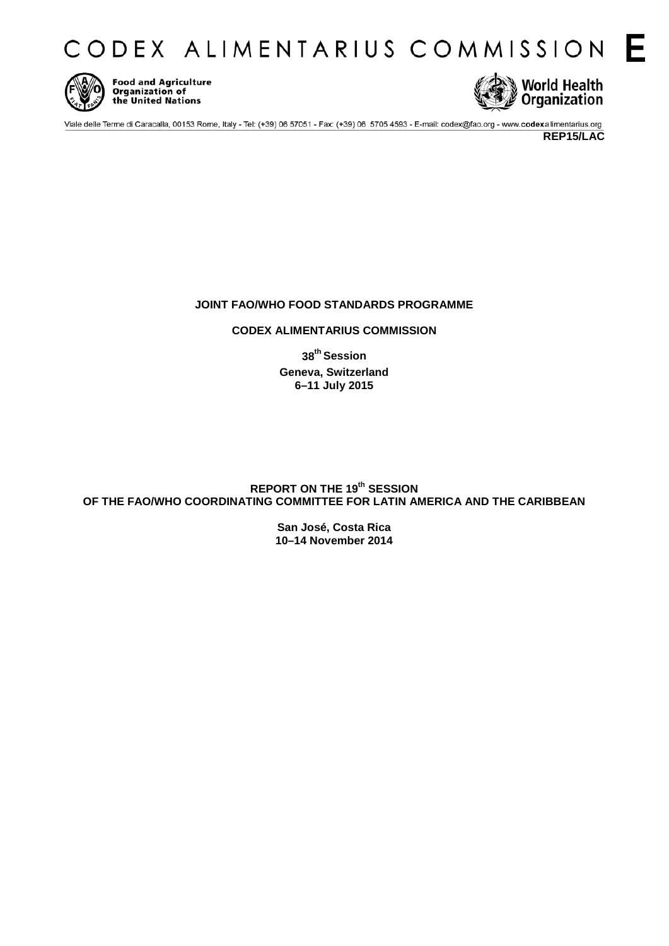CODEX ALIMENTARIUS COMMISSION E



**Food and Agriculture** Organization of the United Nations



Viale delle Terme di Caracalla, 00153 Rome, Italy - Tel: (+39) 06 57051 - Fax: (+39) 06 5705 4593 - E-mail: codex@fao.org - www.codexalimentarius.org

**REP15/LAC**

# **JOINT FAO/WHO FOOD STANDARDS PROGRAMME**

## **CODEX ALIMENTARIUS COMMISSION**

**38th Session Geneva, Switzerland 6–11 July 2015**

# **REPORT ON THE 19th SESSION OF THE FAO/WHO COORDINATING COMMITTEE FOR LATIN AMERICA AND THE CARIBBEAN**

**San José, Costa Rica 10–14 November 2014**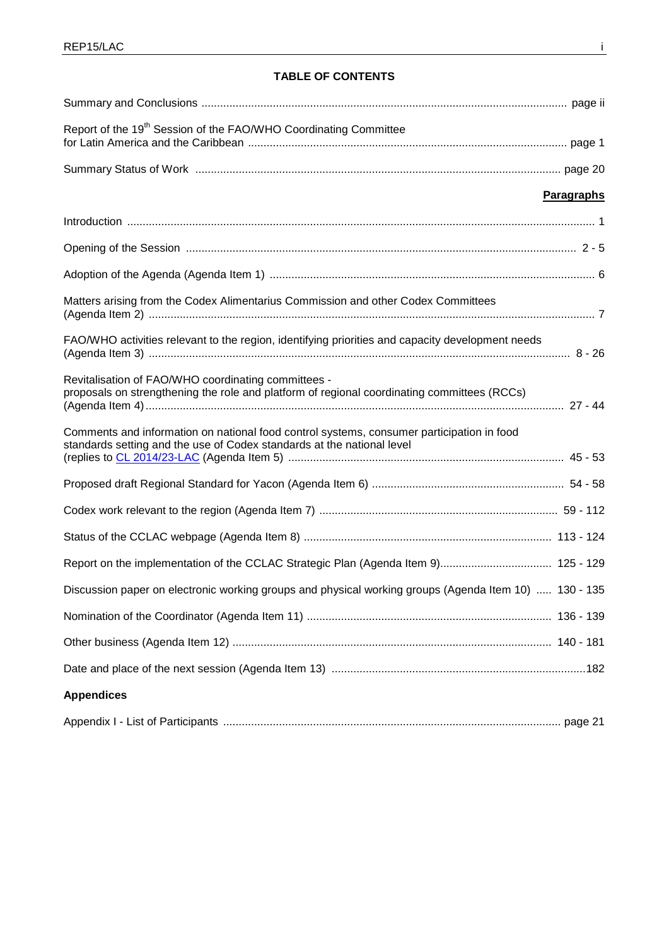# **TABLE OF CONTENTS**

| Report of the 19 <sup>th</sup> Session of the FAO/WHO Coordinating Committee                                                                                        |                   |
|---------------------------------------------------------------------------------------------------------------------------------------------------------------------|-------------------|
|                                                                                                                                                                     |                   |
|                                                                                                                                                                     | <b>Paragraphs</b> |
|                                                                                                                                                                     |                   |
|                                                                                                                                                                     |                   |
|                                                                                                                                                                     |                   |
| Matters arising from the Codex Alimentarius Commission and other Codex Committees                                                                                   |                   |
| FAO/WHO activities relevant to the region, identifying priorities and capacity development needs                                                                    |                   |
| Revitalisation of FAO/WHO coordinating committees -<br>proposals on strengthening the role and platform of regional coordinating committees (RCCs)                  |                   |
| Comments and information on national food control systems, consumer participation in food<br>standards setting and the use of Codex standards at the national level |                   |
|                                                                                                                                                                     |                   |
|                                                                                                                                                                     |                   |
|                                                                                                                                                                     |                   |
| Report on the implementation of the CCLAC Strategic Plan (Agenda Item 9) 125 - 129                                                                                  |                   |
| Discussion paper on electronic working groups and physical working groups (Agenda Item 10)  130 - 135                                                               |                   |
|                                                                                                                                                                     |                   |
|                                                                                                                                                                     |                   |
|                                                                                                                                                                     |                   |
| <b>Appendices</b>                                                                                                                                                   |                   |
|                                                                                                                                                                     |                   |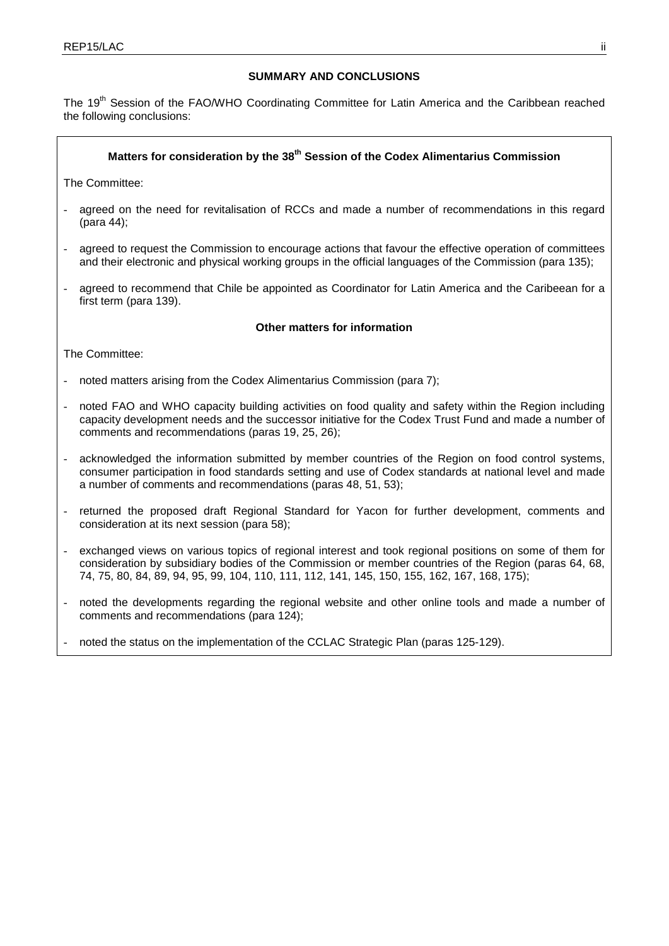## **SUMMARY AND CONCLUSIONS**

The 19<sup>th</sup> Session of the FAO/WHO Coordinating Committee for Latin America and the Caribbean reached the following conclusions:

# Matters for consideration by the 38<sup>th</sup> Session of the Codex Alimentarius Commission

The Committee:

- agreed on the need for revitalisation of RCCs and made a number of recommendations in this regard (para 44);
- agreed to request the Commission to encourage actions that favour the effective operation of committees and their electronic and physical working groups in the official languages of the Commission (para 135);
- agreed to recommend that Chile be appointed as Coordinator for Latin America and the Caribeean for a first term (para 139).

## **Other matters for information**

The Committee:

- noted matters arising from the Codex Alimentarius Commission (para 7);
- noted FAO and WHO capacity building activities on food quality and safety within the Region including capacity development needs and the successor initiative for the Codex Trust Fund and made a number of comments and recommendations (paras 19, 25, 26);
- acknowledged the information submitted by member countries of the Region on food control systems, consumer participation in food standards setting and use of Codex standards at national level and made a number of comments and recommendations (paras 48, 51, 53);
- returned the proposed draft Regional Standard for Yacon for further development, comments and consideration at its next session (para 58);
- exchanged views on various topics of regional interest and took regional positions on some of them for consideration by subsidiary bodies of the Commission or member countries of the Region (paras 64, 68, 74, 75, 80, 84, 89, 94, 95, 99, 104, 110, 111, 112, 141, 145, 150, 155, 162, 167, 168, 175);
- noted the developments regarding the regional website and other online tools and made a number of comments and recommendations (para 124);
- noted the status on the implementation of the CCLAC Strategic Plan (paras 125-129).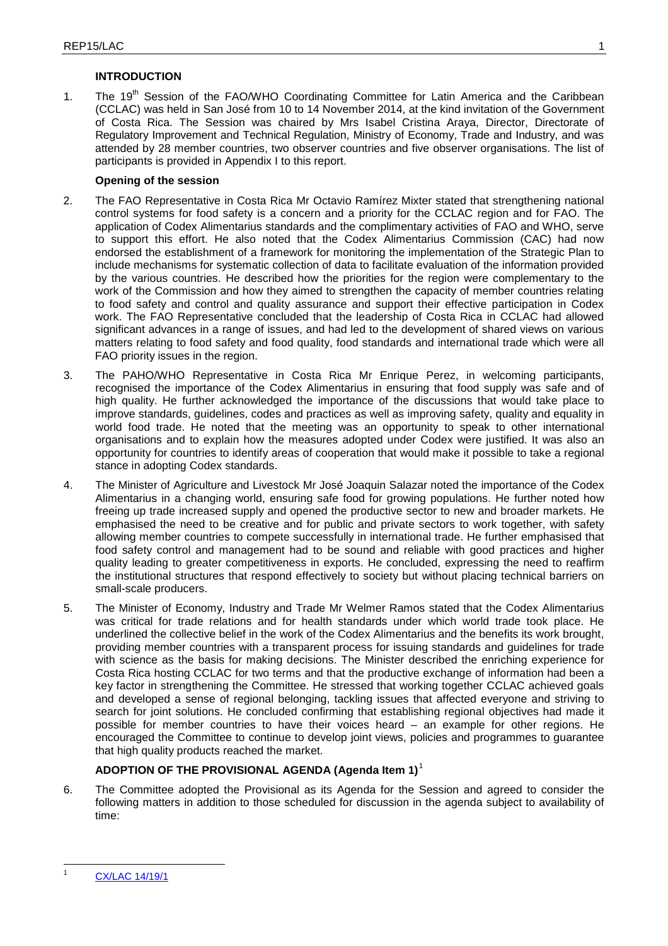## **INTRODUCTION**

1. The 19<sup>th</sup> Session of the FAO/WHO Coordinating Committee for Latin America and the Caribbean (CCLAC) was held in San José from 10 to 14 November 2014, at the kind invitation of the Government of Costa Rica. The Session was chaired by Mrs Isabel Cristina Araya, Director, Directorate of Regulatory Improvement and Technical Regulation, Ministry of Economy, Trade and Industry, and was attended by 28 member countries, two observer countries and five observer organisations. The list of participants is provided in Appendix I to this report.

## **Opening of the session**

- 2. The FAO Representative in Costa Rica Mr Octavio Ramírez Mixter stated that strengthening national control systems for food safety is a concern and a priority for the CCLAC region and for FAO. The application of Codex Alimentarius standards and the complimentary activities of FAO and WHO, serve to support this effort. He also noted that the Codex Alimentarius Commission (CAC) had now endorsed the establishment of a framework for monitoring the implementation of the Strategic Plan to include mechanisms for systematic collection of data to facilitate evaluation of the information provided by the various countries. He described how the priorities for the region were complementary to the work of the Commission and how they aimed to strengthen the capacity of member countries relating to food safety and control and quality assurance and support their effective participation in Codex work. The FAO Representative concluded that the leadership of Costa Rica in CCLAC had allowed significant advances in a range of issues, and had led to the development of shared views on various matters relating to food safety and food quality, food standards and international trade which were all FAO priority issues in the region.
- 3. The PAHO/WHO Representative in Costa Rica Mr Enrique Perez, in welcoming participants, recognised the importance of the Codex Alimentarius in ensuring that food supply was safe and of high quality. He further acknowledged the importance of the discussions that would take place to improve standards, guidelines, codes and practices as well as improving safety, quality and equality in world food trade. He noted that the meeting was an opportunity to speak to other international organisations and to explain how the measures adopted under Codex were justified. It was also an opportunity for countries to identify areas of cooperation that would make it possible to take a regional stance in adopting Codex standards.
- 4. The Minister of Agriculture and Livestock Mr José Joaquin Salazar noted the importance of the Codex Alimentarius in a changing world, ensuring safe food for growing populations. He further noted how freeing up trade increased supply and opened the productive sector to new and broader markets. He emphasised the need to be creative and for public and private sectors to work together, with safety allowing member countries to compete successfully in international trade. He further emphasised that food safety control and management had to be sound and reliable with good practices and higher quality leading to greater competitiveness in exports. He concluded, expressing the need to reaffirm the institutional structures that respond effectively to society but without placing technical barriers on small-scale producers.
- 5. The Minister of Economy, Industry and Trade Mr Welmer Ramos stated that the Codex Alimentarius was critical for trade relations and for health standards under which world trade took place. He underlined the collective belief in the work of the Codex Alimentarius and the benefits its work brought, providing member countries with a transparent process for issuing standards and guidelines for trade with science as the basis for making decisions. The Minister described the enriching experience for Costa Rica hosting CCLAC for two terms and that the productive exchange of information had been a key factor in strengthening the Committee. He stressed that working together CCLAC achieved goals and developed a sense of regional belonging, tackling issues that affected everyone and striving to search for joint solutions. He concluded confirming that establishing regional objectives had made it possible for member countries to have their voices heard – an example for other regions. He encouraged the Committee to continue to develop joint views, policies and programmes to guarantee that high quality products reached the market.

# **ADOPTION OF THE PROVISIONAL AGENDA (Agenda Item 1)**[1](#page-3-0)

6. The Committee adopted the Provisional as its Agenda for the Session and agreed to consider the following matters in addition to those scheduled for discussion in the agenda subject to availability of time:

 $\overline{1}$ 

<span id="page-3-0"></span>[CX/LAC 14/19/1](ftp://ftp.fao.org/CODEX/Meetings/cclac/cclac19/la19_01e.pdf)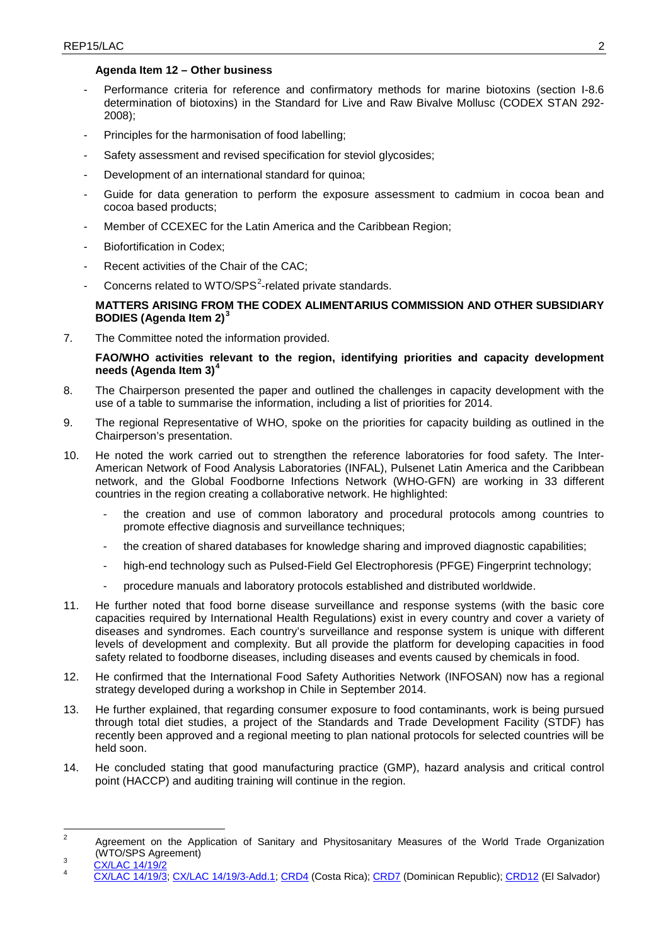## **Agenda Item 12 – Other business**

- Performance criteria for reference and confirmatory methods for marine biotoxins (section I-8.6 determination of biotoxins) in the Standard for Live and Raw Bivalve Mollusc (CODEX STAN 292- 2008);
- Principles for the harmonisation of food labelling;
- Safety assessment and revised specification for steviol glycosides;
- Development of an international standard for quinoa;
- Guide for data generation to perform the exposure assessment to cadmium in cocoa bean and cocoa based products;
- Member of CCEXEC for the Latin America and the Caribbean Region;
- Biofortification in Codex:
- Recent activities of the Chair of the CAC;
- Concerns related to WTO/SPS<sup>[2](#page-4-0)</sup>-related private standards.

## **MATTERS ARISING FROM THE CODEX ALIMENTARIUS COMMISSION AND OTHER SUBSIDIARY BODIES (Agenda Item 2)[3](#page-4-1)**

7. The Committee noted the information provided.

**FAO/WHO activities relevant to the region, identifying priorities and capacity development needs (Agenda Item 3)[4](#page-4-2)**

- 8. The Chairperson presented the paper and outlined the challenges in capacity development with the use of a table to summarise the information, including a list of priorities for 2014.
- 9. The regional Representative of WHO, spoke on the priorities for capacity building as outlined in the Chairperson's presentation.
- 10. He noted the work carried out to strengthen the reference laboratories for food safety. The Inter-American Network of Food Analysis Laboratories (INFAL), Pulsenet Latin America and the Caribbean network, and the Global Foodborne Infections Network (WHO-GFN) are working in 33 different countries in the region creating a collaborative network. He highlighted:
	- the creation and use of common laboratory and procedural protocols among countries to promote effective diagnosis and surveillance techniques;
	- the creation of shared databases for knowledge sharing and improved diagnostic capabilities;
	- high-end technology such as Pulsed-Field Gel Electrophoresis (PFGE) Fingerprint technology;
	- procedure manuals and laboratory protocols established and distributed worldwide.
- 11. He further noted that food borne disease surveillance and response systems (with the basic core capacities required by International Health Regulations) exist in every country and cover a variety of diseases and syndromes. Each country's surveillance and response system is unique with different levels of development and complexity. But all provide the platform for developing capacities in food safety related to foodborne diseases, including diseases and events caused by chemicals in food.
- 12. He confirmed that the International Food Safety Authorities Network (INFOSAN) now has a regional strategy developed during a workshop in Chile in September 2014.
- 13. He further explained, that regarding consumer exposure to food contaminants, work is being pursued through total diet studies, a project of the Standards and Trade Development Facility (STDF) has recently been approved and a regional meeting to plan national protocols for selected countries will be held soon.
- 14. He concluded stating that good manufacturing practice (GMP), hazard analysis and critical control point (HACCP) and auditing training will continue in the region.

<span id="page-4-0"></span>Agreement on the Application of Sanitary and Physitosanitary Measures of the World Trade Organization (WTO/SPS Agreement)  $\overline{2}$ 

<span id="page-4-2"></span><span id="page-4-1"></span>

<sup>(</sup>WTO/SPS) 3<br>Agreement 2012<br>[CX/LAC 14/19/3;](ftp://ftp.fao.org/CODEX/Meetings/cclac/cclac19/la19_03e.pdf) [CX/LAC 14/19/3-Add.1;](ftp://ftp.fao.org/CODEX/Meetings/cclac/cclac19/la19_03_Add1e.pdf) [CRD4](ftp://ftp.fao.org/CODEX/Meetings/cclac/cclac19/CRDs) (Costa Rica); [CRD7](ftp://ftp.fao.org/CODEX/Meetings/cclac/cclac19/CRDs) (Dominican Republic); CRD12 (El Salvador)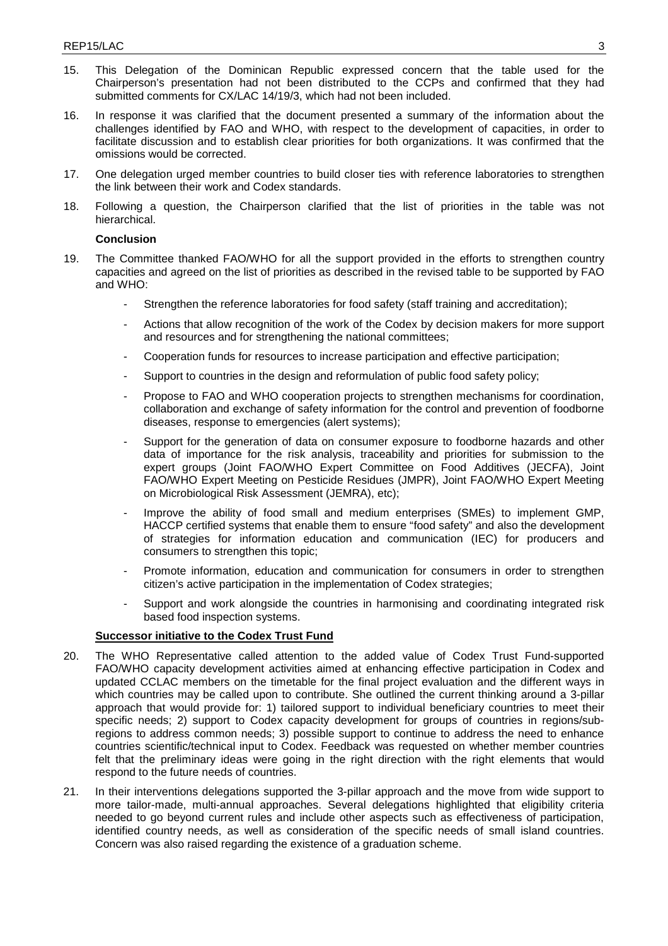- 15. This Delegation of the Dominican Republic expressed concern that the table used for the Chairperson's presentation had not been distributed to the CCPs and confirmed that they had submitted comments for CX/LAC 14/19/3, which had not been included.
- 16. In response it was clarified that the document presented a summary of the information about the challenges identified by FAO and WHO, with respect to the development of capacities, in order to facilitate discussion and to establish clear priorities for both organizations. It was confirmed that the omissions would be corrected.
- 17. One delegation urged member countries to build closer ties with reference laboratories to strengthen the link between their work and Codex standards.
- 18. Following a question, the Chairperson clarified that the list of priorities in the table was not hierarchical.

- 19. The Committee thanked FAO/WHO for all the support provided in the efforts to strengthen country capacities and agreed on the list of priorities as described in the revised table to be supported by FAO and WHO:
	- Strengthen the reference laboratories for food safety (staff training and accreditation);
	- Actions that allow recognition of the work of the Codex by decision makers for more support and resources and for strengthening the national committees;
	- Cooperation funds for resources to increase participation and effective participation;
	- Support to countries in the design and reformulation of public food safety policy;
	- Propose to FAO and WHO cooperation projects to strengthen mechanisms for coordination, collaboration and exchange of safety information for the control and prevention of foodborne diseases, response to emergencies (alert systems);
	- Support for the generation of data on consumer exposure to foodborne hazards and other data of importance for the risk analysis, traceability and priorities for submission to the expert groups (Joint FAO/WHO Expert Committee on Food Additives (JECFA), Joint FAO/WHO Expert Meeting on Pesticide Residues (JMPR), Joint FAO/WHO Expert Meeting on Microbiological Risk Assessment (JEMRA), etc);
	- Improve the ability of food small and medium enterprises (SMEs) to implement GMP, HACCP certified systems that enable them to ensure "food safety" and also the development of strategies for information education and communication (IEC) for producers and consumers to strengthen this topic;
	- Promote information, education and communication for consumers in order to strengthen citizen's active participation in the implementation of Codex strategies;
	- Support and work alongside the countries in harmonising and coordinating integrated risk based food inspection systems.

## **Successor initiative to the Codex Trust Fund**

- 20. The WHO Representative called attention to the added value of Codex Trust Fund-supported FAO/WHO capacity development activities aimed at enhancing effective participation in Codex and updated CCLAC members on the timetable for the final project evaluation and the different ways in which countries may be called upon to contribute. She outlined the current thinking around a 3-pillar approach that would provide for: 1) tailored support to individual beneficiary countries to meet their specific needs; 2) support to Codex capacity development for groups of countries in regions/subregions to address common needs; 3) possible support to continue to address the need to enhance countries scientific/technical input to Codex. Feedback was requested on whether member countries felt that the preliminary ideas were going in the right direction with the right elements that would respond to the future needs of countries.
- 21. In their interventions delegations supported the 3-pillar approach and the move from wide support to more tailor-made, multi-annual approaches. Several delegations highlighted that eligibility criteria needed to go beyond current rules and include other aspects such as effectiveness of participation, identified country needs, as well as consideration of the specific needs of small island countries. Concern was also raised regarding the existence of a graduation scheme.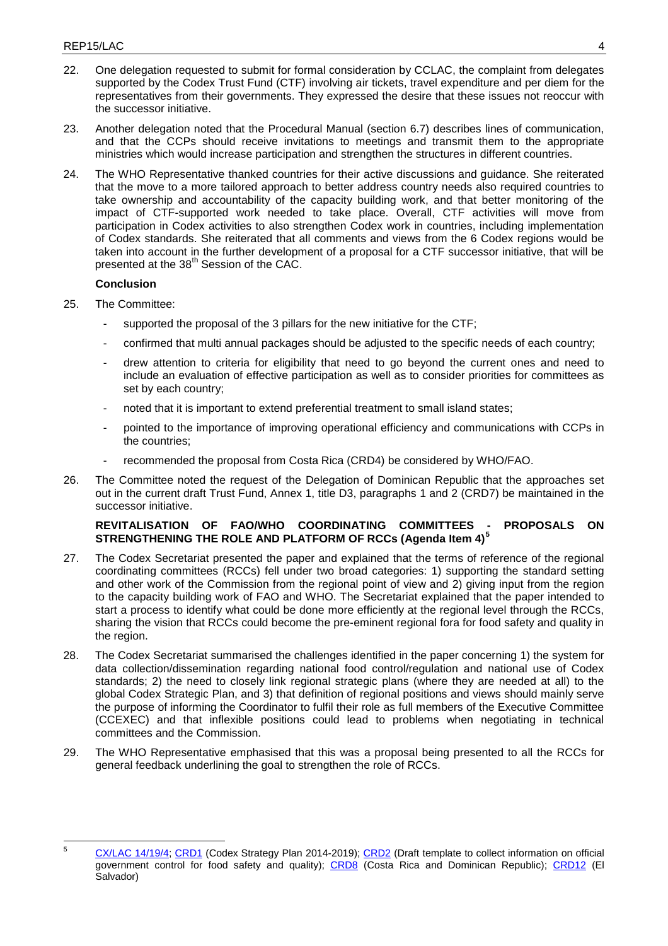- 22. One delegation requested to submit for formal consideration by CCLAC, the complaint from delegates supported by the Codex Trust Fund (CTF) involving air tickets, travel expenditure and per diem for the representatives from their governments. They expressed the desire that these issues not reoccur with the successor initiative.
- 23. Another delegation noted that the Procedural Manual (section 6.7) describes lines of communication, and that the CCPs should receive invitations to meetings and transmit them to the appropriate ministries which would increase participation and strengthen the structures in different countries.
- 24. The WHO Representative thanked countries for their active discussions and guidance. She reiterated that the move to a more tailored approach to better address country needs also required countries to take ownership and accountability of the capacity building work, and that better monitoring of the impact of CTF-supported work needed to take place. Overall, CTF activities will move from participation in Codex activities to also strengthen Codex work in countries, including implementation of Codex standards. She reiterated that all comments and views from the 6 Codex regions would be taken into account in the further development of a proposal for a CTF successor initiative, that will be presented at the 38<sup>th</sup> Session of the CAC.

- 25. The Committee:
	- supported the proposal of the 3 pillars for the new initiative for the CTF;
	- confirmed that multi annual packages should be adjusted to the specific needs of each country;
	- drew attention to criteria for eligibility that need to go beyond the current ones and need to include an evaluation of effective participation as well as to consider priorities for committees as set by each country;
	- noted that it is important to extend preferential treatment to small island states;
	- pointed to the importance of improving operational efficiency and communications with CCPs in the countries;
	- recommended the proposal from Costa Rica (CRD4) be considered by WHO/FAO.
- 26. The Committee noted the request of the Delegation of Dominican Republic that the approaches set out in the current draft Trust Fund, Annex 1, title D3, paragraphs 1 and 2 (CRD7) be maintained in the successor initiative.

## **REVITALISATION OF FAO/WHO COORDINATING COMMITTEES - PROPOSALS ON STRENGTHENING THE ROLE AND PLATFORM OF RCCs (Agenda Item 4)[5](#page-6-0)**

- 27. The Codex Secretariat presented the paper and explained that the terms of reference of the regional coordinating committees (RCCs) fell under two broad categories: 1) supporting the standard setting and other work of the Commission from the regional point of view and 2) giving input from the region to the capacity building work of FAO and WHO. The Secretariat explained that the paper intended to start a process to identify what could be done more efficiently at the regional level through the RCCs, sharing the vision that RCCs could become the pre-eminent regional fora for food safety and quality in the region.
- 28. The Codex Secretariat summarised the challenges identified in the paper concerning 1) the system for data collection/dissemination regarding national food control/regulation and national use of Codex standards; 2) the need to closely link regional strategic plans (where they are needed at all) to the global Codex Strategic Plan, and 3) that definition of regional positions and views should mainly serve the purpose of informing the Coordinator to fulfil their role as full members of the Executive Committee (CCEXEC) and that inflexible positions could lead to problems when negotiating in technical committees and the Commission.
- 29. The WHO Representative emphasised that this was a proposal being presented to all the RCCs for general feedback underlining the goal to strengthen the role of RCCs.

<span id="page-6-0"></span>[CX/LAC 14/19/4;](ftp://ftp.fao.org/CODEX/Meetings/cclac/cclac19/la19_04e.pdf) [CRD1](ftp://ftp.fao.org/CODEX/Meetings/cclac/cclac19/CRDs) (Codex Strategy Plan 2014-2019); [CRD2](ftp://ftp.fao.org/CODEX/Meetings/cclac/cclac19/CRDs) (Draft template to collect information on official government control for food safety and quality); [CRD8](ftp://ftp.fao.org/CODEX/Meetings/cclac/cclac19/CRDs) (Costa Rica and Dominican Republic); [CRD12](ftp://ftp.fao.org/CODEX/Meetings/cclac/cclac19/CRDs) (El Salvador)  $\overline{5}$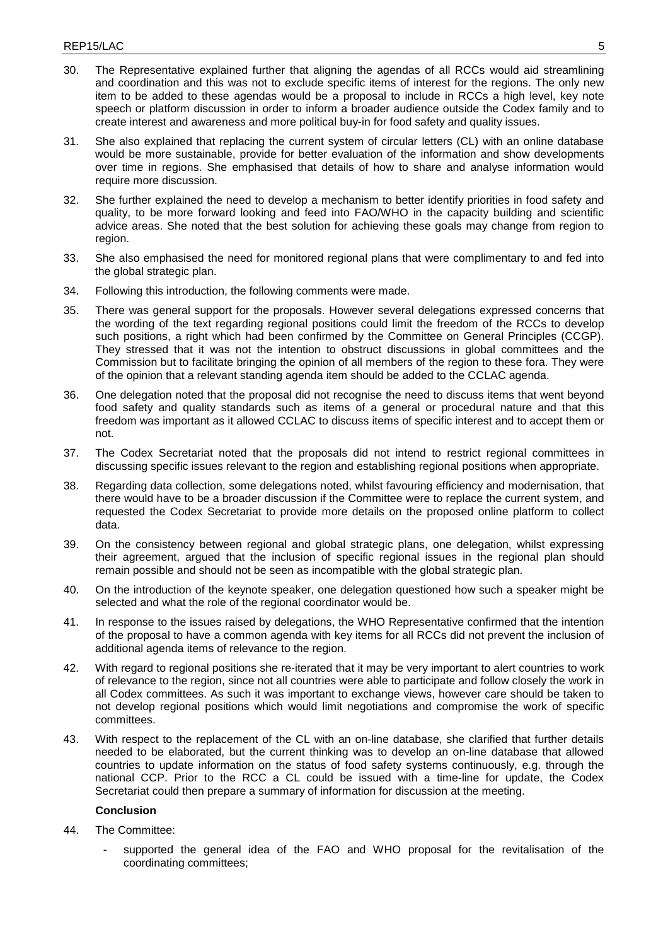- 30. The Representative explained further that aligning the agendas of all RCCs would aid streamlining and coordination and this was not to exclude specific items of interest for the regions. The only new item to be added to these agendas would be a proposal to include in RCCs a high level, key note speech or platform discussion in order to inform a broader audience outside the Codex family and to create interest and awareness and more political buy-in for food safety and quality issues.
- 31. She also explained that replacing the current system of circular letters (CL) with an online database would be more sustainable, provide for better evaluation of the information and show developments over time in regions. She emphasised that details of how to share and analyse information would require more discussion.
- 32. She further explained the need to develop a mechanism to better identify priorities in food safety and quality, to be more forward looking and feed into FAO/WHO in the capacity building and scientific advice areas. She noted that the best solution for achieving these goals may change from region to region.
- 33. She also emphasised the need for monitored regional plans that were complimentary to and fed into the global strategic plan.
- 34. Following this introduction, the following comments were made.
- 35. There was general support for the proposals. However several delegations expressed concerns that the wording of the text regarding regional positions could limit the freedom of the RCCs to develop such positions, a right which had been confirmed by the Committee on General Principles (CCGP). They stressed that it was not the intention to obstruct discussions in global committees and the Commission but to facilitate bringing the opinion of all members of the region to these fora. They were of the opinion that a relevant standing agenda item should be added to the CCLAC agenda.
- 36. One delegation noted that the proposal did not recognise the need to discuss items that went beyond food safety and quality standards such as items of a general or procedural nature and that this freedom was important as it allowed CCLAC to discuss items of specific interest and to accept them or not.
- 37. The Codex Secretariat noted that the proposals did not intend to restrict regional committees in discussing specific issues relevant to the region and establishing regional positions when appropriate.
- 38. Regarding data collection, some delegations noted, whilst favouring efficiency and modernisation, that there would have to be a broader discussion if the Committee were to replace the current system, and requested the Codex Secretariat to provide more details on the proposed online platform to collect data.
- 39. On the consistency between regional and global strategic plans, one delegation, whilst expressing their agreement, argued that the inclusion of specific regional issues in the regional plan should remain possible and should not be seen as incompatible with the global strategic plan.
- 40. On the introduction of the keynote speaker, one delegation questioned how such a speaker might be selected and what the role of the regional coordinator would be.
- 41. In response to the issues raised by delegations, the WHO Representative confirmed that the intention of the proposal to have a common agenda with key items for all RCCs did not prevent the inclusion of additional agenda items of relevance to the region.
- 42. With regard to regional positions she re-iterated that it may be very important to alert countries to work of relevance to the region, since not all countries were able to participate and follow closely the work in all Codex committees. As such it was important to exchange views, however care should be taken to not develop regional positions which would limit negotiations and compromise the work of specific committees.
- 43. With respect to the replacement of the CL with an on-line database, she clarified that further details needed to be elaborated, but the current thinking was to develop an on-line database that allowed countries to update information on the status of food safety systems continuously, e.g. through the national CCP. Prior to the RCC a CL could be issued with a time-line for update, the Codex Secretariat could then prepare a summary of information for discussion at the meeting.

- 44. The Committee:
	- supported the general idea of the FAO and WHO proposal for the revitalisation of the coordinating committees;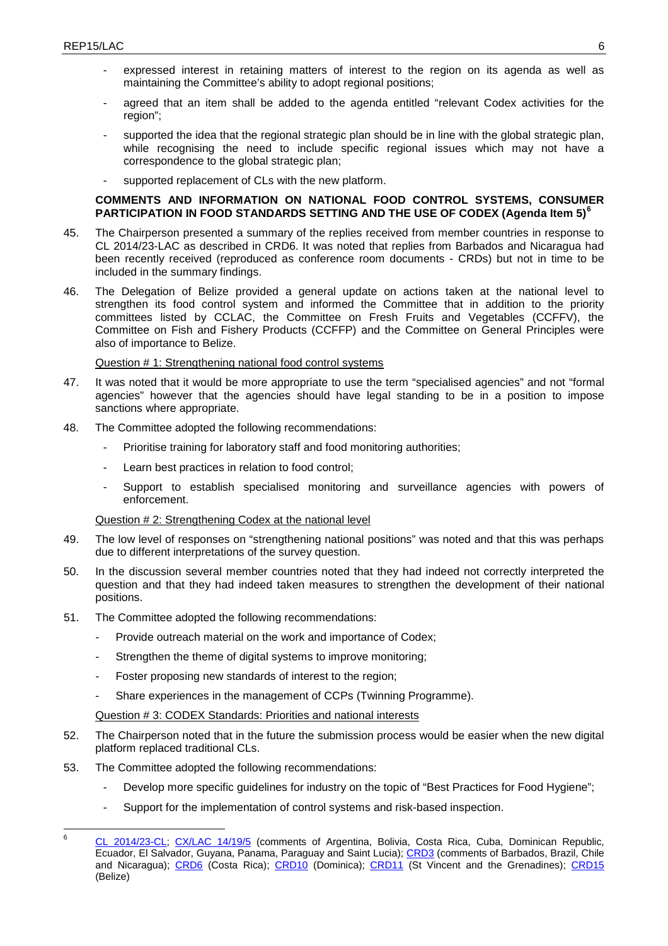- expressed interest in retaining matters of interest to the region on its agenda as well as maintaining the Committee's ability to adopt regional positions;
- agreed that an item shall be added to the agenda entitled "relevant Codex activities for the region";
- supported the idea that the regional strategic plan should be in line with the global strategic plan, while recognising the need to include specific regional issues which may not have a correspondence to the global strategic plan;
- supported replacement of CLs with the new platform.

## **COMMENTS AND INFORMATION ON NATIONAL FOOD CONTROL SYSTEMS, CONSUMER PARTICIPATION IN FOOD STANDARDS SETTING AND THE USE OF CODEX (Agenda Item 5)[6](#page-8-0)**

- 45. The Chairperson presented a summary of the replies received from member countries in response to CL 2014/23-LAC as described in CRD6. It was noted that replies from Barbados and Nicaragua had been recently received (reproduced as conference room documents - CRDs) but not in time to be included in the summary findings.
- 46. The Delegation of Belize provided a general update on actions taken at the national level to strengthen its food control system and informed the Committee that in addition to the priority committees listed by CCLAC, the Committee on Fresh Fruits and Vegetables (CCFFV), the Committee on Fish and Fishery Products (CCFFP) and the Committee on General Principles were also of importance to Belize.

## Question # 1: Strengthening national food control systems

- 47. It was noted that it would be more appropriate to use the term "specialised agencies" and not "formal agencies" however that the agencies should have legal standing to be in a position to impose sanctions where appropriate.
- 48. The Committee adopted the following recommendations:
	- Prioritise training for laboratory staff and food monitoring authorities;
	- Learn best practices in relation to food control;
	- Support to establish specialised monitoring and surveillance agencies with powers of enforcement.

Question # 2: Strengthening Codex at the national level

- 49. The low level of responses on "strengthening national positions" was noted and that this was perhaps due to different interpretations of the survey question.
- 50. In the discussion several member countries noted that they had indeed not correctly interpreted the question and that they had indeed taken measures to strengthen the development of their national positions.
- 51. The Committee adopted the following recommendations:
	- Provide outreach material on the work and importance of Codex;
	- Strengthen the theme of digital systems to improve monitoring;
	- Foster proposing new standards of interest to the region;
	- Share experiences in the management of CCPs (Twinning Programme).

## Question # 3: CODEX Standards: Priorities and national interests

- 52. The Chairperson noted that in the future the submission process would be easier when the new digital platform replaced traditional CLs.
- 53. The Committee adopted the following recommendations:
	- Develop more specific guidelines for industry on the topic of "Best Practices for Food Hygiene";
	- Support for the implementation of control systems and risk-based inspection.

<span id="page-8-0"></span>[CL 2014/23-CL;](ftp://ftp.fao.org/codex/Circular_Letters/CxCL2014/cl14_23e.pdf) [CX/LAC 14/19/5](ftp://ftp.fao.org/CODEX/Meetings/cclac/cclac19/la19_05e.pdf) (comments of Argentina, Bolivia, Costa Rica, Cuba, Dominican Republic, Ecuador, El Salvador, Guyana, Panama, Paraguay and Saint Lucia); [CRD3](ftp://ftp.fao.org/CODEX/Meetings/cclac/cclac19/CRDs) (comments of Barbados, Brazil, Chile and Nicaragua); CRD6 (Costa Rica); [CRD10](ftp://ftp.fao.org/CODEX/Meetings/cclac/cclac19/CRDs) (Dominica); [CRD11](ftp://ftp.fao.org/CODEX/Meetings/cclac/cclac19/CRDs) (St Vincent and the Grenadines); [CRD15](ftp://ftp.fao.org/CODEX/Meetings/cclac/cclac19/CRDs) (Belize) 6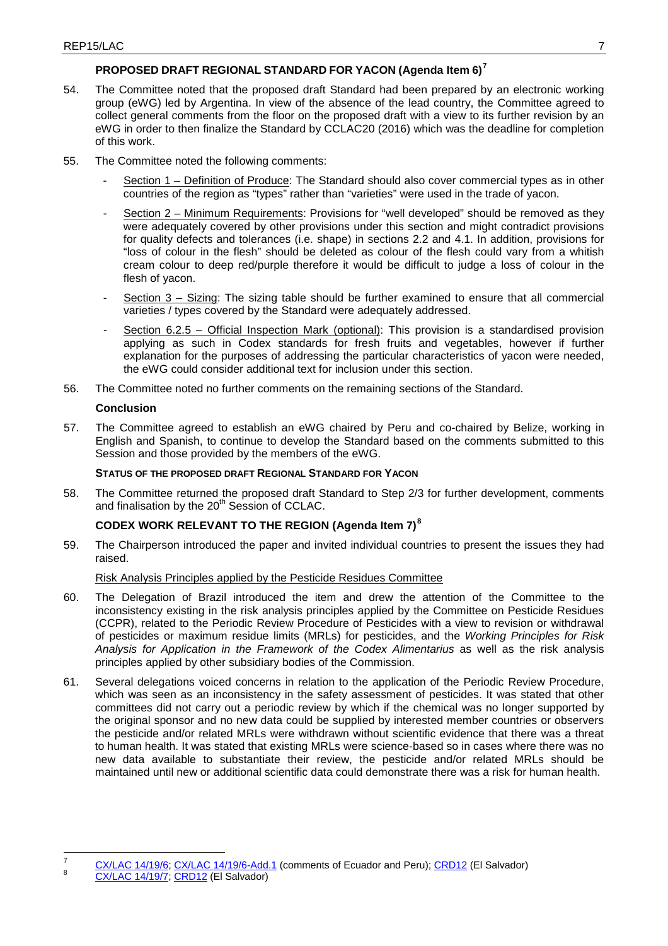## **PROPOSED DRAFT REGIONAL STANDARD FOR YACON (Agenda Item 6)[7](#page-9-0)**

- 54. The Committee noted that the proposed draft Standard had been prepared by an electronic working group (eWG) led by Argentina. In view of the absence of the lead country, the Committee agreed to collect general comments from the floor on the proposed draft with a view to its further revision by an eWG in order to then finalize the Standard by CCLAC20 (2016) which was the deadline for completion of this work.
- 55. The Committee noted the following comments:
	- Section 1 Definition of Produce: The Standard should also cover commercial types as in other countries of the region as "types" rather than "varieties" were used in the trade of yacon.
	- Section 2 Minimum Requirements: Provisions for "well developed" should be removed as they were adequately covered by other provisions under this section and might contradict provisions for quality defects and tolerances (i.e. shape) in sections 2.2 and 4.1. In addition, provisions for "loss of colour in the flesh" should be deleted as colour of the flesh could vary from a whitish cream colour to deep red/purple therefore it would be difficult to judge a loss of colour in the flesh of yacon.
	- Section 3 Sizing: The sizing table should be further examined to ensure that all commercial varieties / types covered by the Standard were adequately addressed.
	- Section 6.2.5 Official Inspection Mark (optional): This provision is a standardised provision applying as such in Codex standards for fresh fruits and vegetables, however if further explanation for the purposes of addressing the particular characteristics of yacon were needed, the eWG could consider additional text for inclusion under this section.
- 56. The Committee noted no further comments on the remaining sections of the Standard.

## **Conclusion**

57. The Committee agreed to establish an eWG chaired by Peru and co-chaired by Belize, working in English and Spanish, to continue to develop the Standard based on the comments submitted to this Session and those provided by the members of the eWG.

## **STATUS OF THE PROPOSED DRAFT REGIONAL STANDARD FOR YACON**

58. The Committee returned the proposed draft Standard to Step 2/3 for further development, comments and finalisation by the 20<sup>th</sup> Session of CCLAC.

## **CODEX WORK RELEVANT TO THE REGION (Agenda Item 7)[8](#page-9-1)**

59. The Chairperson introduced the paper and invited individual countries to present the issues they had raised.

## Risk Analysis Principles applied by the Pesticide Residues Committee

- 60. The Delegation of Brazil introduced the item and drew the attention of the Committee to the inconsistency existing in the risk analysis principles applied by the Committee on Pesticide Residues (CCPR), related to the Periodic Review Procedure of Pesticides with a view to revision or withdrawal of pesticides or maximum residue limits (MRLs) for pesticides, and the *Working Principles for Risk Analysis for Application in the Framework of the Codex Alimentarius* as well as the risk analysis principles applied by other subsidiary bodies of the Commission.
- 61. Several delegations voiced concerns in relation to the application of the Periodic Review Procedure, which was seen as an inconsistency in the safety assessment of pesticides. It was stated that other committees did not carry out a periodic review by which if the chemical was no longer supported by the original sponsor and no new data could be supplied by interested member countries or observers the pesticide and/or related MRLs were withdrawn without scientific evidence that there was a threat to human health. It was stated that existing MRLs were science-based so in cases where there was no new data available to substantiate their review, the pesticide and/or related MRLs should be maintained until new or additional scientific data could demonstrate there was a risk for human health.

<span id="page-9-1"></span><span id="page-9-0"></span><sup>&</sup>lt;sup>7</sup> [CX/LAC 14/19/6;](ftp://ftp.fao.org/CODEX/Meetings/cclac/cclac19/la19_06e.pdf) [CX/LAC 14/19/6-Add.1](ftp://ftp.fao.org/CODEX/Meetings/cclac/cclac19/la19_06_Add1e.pdf) (comments of Ecuador and Peru); [CRD12](ftp://ftp.fao.org/CODEX/Meetings/cclac/cclac19/CRDs) (El Salvador) 8 [CX/LAC 14/19/7;](ftp://ftp.fao.org/CODEX/Meetings/cclac/cclac19/la19_07e.pdf) CRD12 (El Salvador)  $\overline{7}$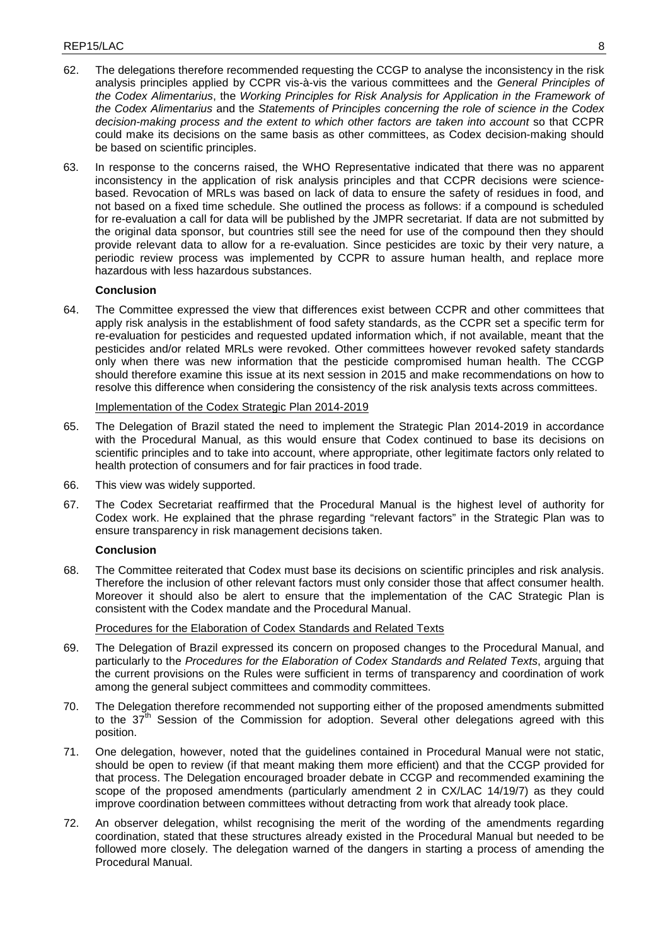- 62. The delegations therefore recommended requesting the CCGP to analyse the inconsistency in the risk analysis principles applied by CCPR vis-à-vis the various committees and the *General Principles of the Codex Alimentarius*, the *Working Principles for Risk Analysis for Application in the Framework of the Codex Alimentarius* and the *Statements of Principles concerning the role of science in the Codex decision-making process and the extent to which other factors are taken into account* so that CCPR could make its decisions on the same basis as other committees, as Codex decision-making should be based on scientific principles.
- 63. In response to the concerns raised, the WHO Representative indicated that there was no apparent inconsistency in the application of risk analysis principles and that CCPR decisions were sciencebased. Revocation of MRLs was based on lack of data to ensure the safety of residues in food, and not based on a fixed time schedule. She outlined the process as follows: if a compound is scheduled for re-evaluation a call for data will be published by the JMPR secretariat. If data are not submitted by the original data sponsor, but countries still see the need for use of the compound then they should provide relevant data to allow for a re-evaluation. Since pesticides are toxic by their very nature, a periodic review process was implemented by CCPR to assure human health, and replace more hazardous with less hazardous substances.

64. The Committee expressed the view that differences exist between CCPR and other committees that apply risk analysis in the establishment of food safety standards, as the CCPR set a specific term for re-evaluation for pesticides and requested updated information which, if not available, meant that the pesticides and/or related MRLs were revoked. Other committees however revoked safety standards only when there was new information that the pesticide compromised human health. The CCGP should therefore examine this issue at its next session in 2015 and make recommendations on how to resolve this difference when considering the consistency of the risk analysis texts across committees.

## Implementation of the Codex Strategic Plan 2014-2019

- 65. The Delegation of Brazil stated the need to implement the Strategic Plan 2014-2019 in accordance with the Procedural Manual, as this would ensure that Codex continued to base its decisions on scientific principles and to take into account, where appropriate, other legitimate factors only related to health protection of consumers and for fair practices in food trade.
- 66. This view was widely supported.
- 67. The Codex Secretariat reaffirmed that the Procedural Manual is the highest level of authority for Codex work. He explained that the phrase regarding "relevant factors" in the Strategic Plan was to ensure transparency in risk management decisions taken.

## **Conclusion**

68. The Committee reiterated that Codex must base its decisions on scientific principles and risk analysis. Therefore the inclusion of other relevant factors must only consider those that affect consumer health. Moreover it should also be alert to ensure that the implementation of the CAC Strategic Plan is consistent with the Codex mandate and the Procedural Manual.

Procedures for the Elaboration of Codex Standards and Related Texts

- 69. The Delegation of Brazil expressed its concern on proposed changes to the Procedural Manual, and particularly to the *Procedures for the Elaboration of Codex Standards and Related Texts*, arguing that the current provisions on the Rules were sufficient in terms of transparency and coordination of work among the general subject committees and commodity committees.
- 70. The Delegation therefore recommended not supporting either of the proposed amendments submitted to the  $37<sup>th</sup>$  Session of the Commission for adoption. Several other delegations agreed with this position.
- 71. One delegation, however, noted that the guidelines contained in Procedural Manual were not static, should be open to review (if that meant making them more efficient) and that the CCGP provided for that process. The Delegation encouraged broader debate in CCGP and recommended examining the scope of the proposed amendments (particularly amendment 2 in CX/LAC 14/19/7) as they could improve coordination between committees without detracting from work that already took place.
- 72. An observer delegation, whilst recognising the merit of the wording of the amendments regarding coordination, stated that these structures already existed in the Procedural Manual but needed to be followed more closely. The delegation warned of the dangers in starting a process of amending the Procedural Manual.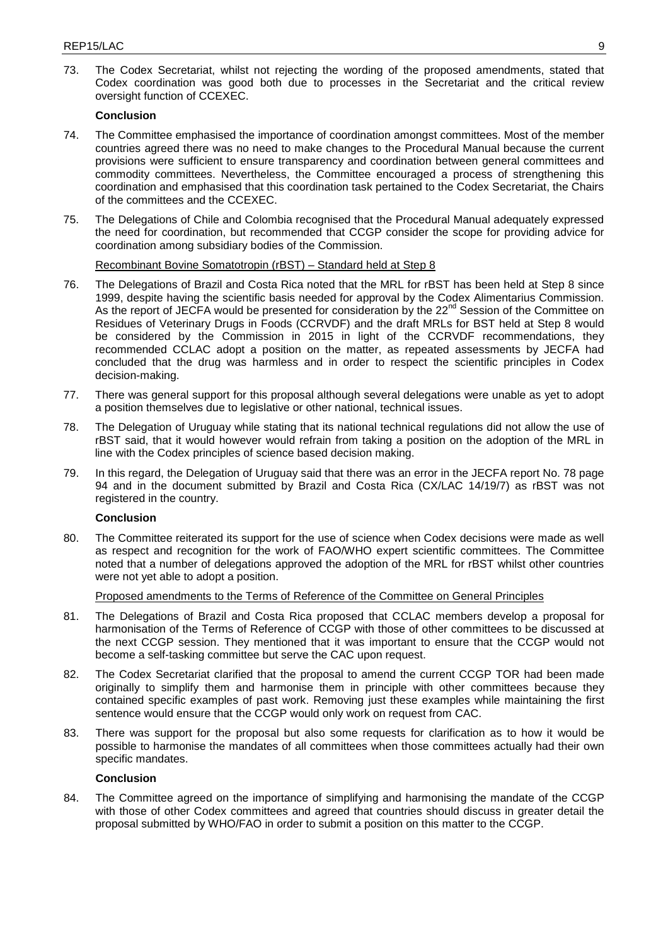73. The Codex Secretariat, whilst not rejecting the wording of the proposed amendments, stated that Codex coordination was good both due to processes in the Secretariat and the critical review oversight function of CCEXEC.

## **Conclusion**

- 74. The Committee emphasised the importance of coordination amongst committees. Most of the member countries agreed there was no need to make changes to the Procedural Manual because the current provisions were sufficient to ensure transparency and coordination between general committees and commodity committees. Nevertheless, the Committee encouraged a process of strengthening this coordination and emphasised that this coordination task pertained to the Codex Secretariat, the Chairs of the committees and the CCEXEC.
- 75. The Delegations of Chile and Colombia recognised that the Procedural Manual adequately expressed the need for coordination, but recommended that CCGP consider the scope for providing advice for coordination among subsidiary bodies of the Commission.

## Recombinant Bovine Somatotropin (rBST) – Standard held at Step 8

- 76. The Delegations of Brazil and Costa Rica noted that the MRL for rBST has been held at Step 8 since 1999, despite having the scientific basis needed for approval by the Codex Alimentarius Commission. As the report of JECFA would be presented for consideration by the 22<sup>nd</sup> Session of the Committee on Residues of Veterinary Drugs in Foods (CCRVDF) and the draft MRLs for BST held at Step 8 would be considered by the Commission in 2015 in light of the CCRVDF recommendations, they recommended CCLAC adopt a position on the matter, as repeated assessments by JECFA had concluded that the drug was harmless and in order to respect the scientific principles in Codex decision-making.
- 77. There was general support for this proposal although several delegations were unable as yet to adopt a position themselves due to legislative or other national, technical issues.
- 78. The Delegation of Uruguay while stating that its national technical regulations did not allow the use of rBST said, that it would however would refrain from taking a position on the adoption of the MRL in line with the Codex principles of science based decision making.
- 79. In this regard, the Delegation of Uruguay said that there was an error in the JECFA report No. 78 page 94 and in the document submitted by Brazil and Costa Rica (CX/LAC 14/19/7) as rBST was not registered in the country.

## **Conclusion**

80. The Committee reiterated its support for the use of science when Codex decisions were made as well as respect and recognition for the work of FAO/WHO expert scientific committees. The Committee noted that a number of delegations approved the adoption of the MRL for rBST whilst other countries were not yet able to adopt a position.

## Proposed amendments to the Terms of Reference of the Committee on General Principles

- 81. The Delegations of Brazil and Costa Rica proposed that CCLAC members develop a proposal for harmonisation of the Terms of Reference of CCGP with those of other committees to be discussed at the next CCGP session. They mentioned that it was important to ensure that the CCGP would not become a self-tasking committee but serve the CAC upon request.
- 82. The Codex Secretariat clarified that the proposal to amend the current CCGP TOR had been made originally to simplify them and harmonise them in principle with other committees because they contained specific examples of past work. Removing just these examples while maintaining the first sentence would ensure that the CCGP would only work on request from CAC.
- 83. There was support for the proposal but also some requests for clarification as to how it would be possible to harmonise the mandates of all committees when those committees actually had their own specific mandates.

## **Conclusion**

84. The Committee agreed on the importance of simplifying and harmonising the mandate of the CCGP with those of other Codex committees and agreed that countries should discuss in greater detail the proposal submitted by WHO/FAO in order to submit a position on this matter to the CCGP.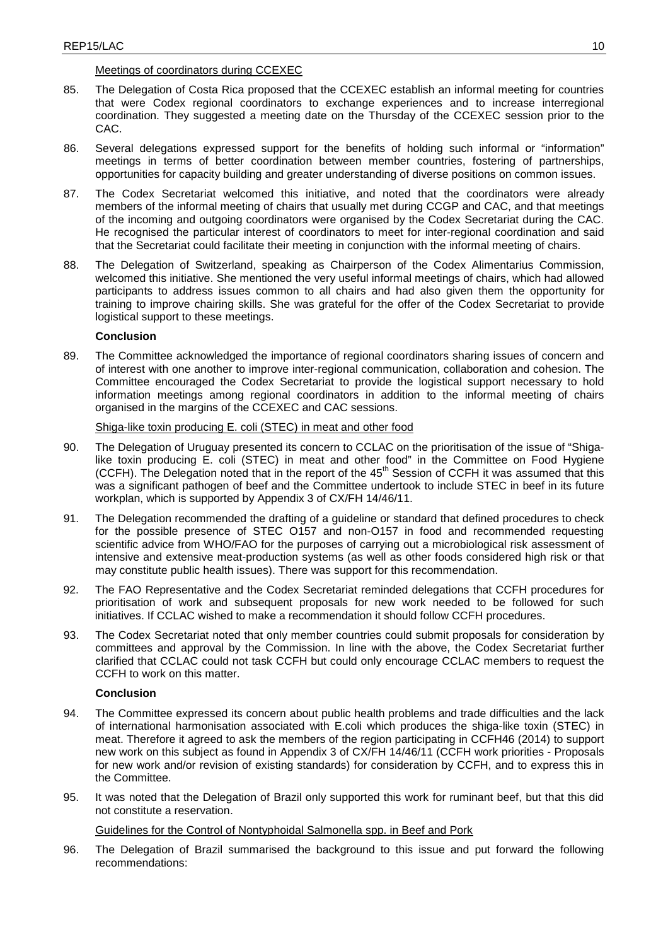## Meetings of coordinators during CCEXEC

- 85. The Delegation of Costa Rica proposed that the CCEXEC establish an informal meeting for countries that were Codex regional coordinators to exchange experiences and to increase interregional coordination. They suggested a meeting date on the Thursday of the CCEXEC session prior to the CAC.
- 86. Several delegations expressed support for the benefits of holding such informal or "information" meetings in terms of better coordination between member countries, fostering of partnerships, opportunities for capacity building and greater understanding of diverse positions on common issues.
- 87. The Codex Secretariat welcomed this initiative, and noted that the coordinators were already members of the informal meeting of chairs that usually met during CCGP and CAC, and that meetings of the incoming and outgoing coordinators were organised by the Codex Secretariat during the CAC. He recognised the particular interest of coordinators to meet for inter-regional coordination and said that the Secretariat could facilitate their meeting in conjunction with the informal meeting of chairs.
- 88. The Delegation of Switzerland, speaking as Chairperson of the Codex Alimentarius Commission, welcomed this initiative. She mentioned the very useful informal meetings of chairs, which had allowed participants to address issues common to all chairs and had also given them the opportunity for training to improve chairing skills. She was grateful for the offer of the Codex Secretariat to provide logistical support to these meetings.

## **Conclusion**

89. The Committee acknowledged the importance of regional coordinators sharing issues of concern and of interest with one another to improve inter-regional communication, collaboration and cohesion. The Committee encouraged the Codex Secretariat to provide the logistical support necessary to hold information meetings among regional coordinators in addition to the informal meeting of chairs organised in the margins of the CCEXEC and CAC sessions.

## Shiga-like toxin producing E. coli (STEC) in meat and other food

- 90. The Delegation of Uruguay presented its concern to CCLAC on the prioritisation of the issue of "Shigalike toxin producing E. coli (STEC) in meat and other food" in the Committee on Food Hygiene (CCFH). The Delegation noted that in the report of the  $45<sup>th</sup>$  Session of CCFH it was assumed that this was a significant pathogen of beef and the Committee undertook to include STEC in beef in its future workplan, which is supported by Appendix 3 of CX/FH 14/46/11.
- 91. The Delegation recommended the drafting of a guideline or standard that defined procedures to check for the possible presence of STEC O157 and non-O157 in food and recommended requesting scientific advice from WHO/FAO for the purposes of carrying out a microbiological risk assessment of intensive and extensive meat-production systems (as well as other foods considered high risk or that may constitute public health issues). There was support for this recommendation.
- 92. The FAO Representative and the Codex Secretariat reminded delegations that CCFH procedures for prioritisation of work and subsequent proposals for new work needed to be followed for such initiatives. If CCLAC wished to make a recommendation it should follow CCFH procedures.
- 93. The Codex Secretariat noted that only member countries could submit proposals for consideration by committees and approval by the Commission. In line with the above, the Codex Secretariat further clarified that CCLAC could not task CCFH but could only encourage CCLAC members to request the CCFH to work on this matter.

## **Conclusion**

- 94. The Committee expressed its concern about public health problems and trade difficulties and the lack of international harmonisation associated with E.coli which produces the shiga-like toxin (STEC) in meat. Therefore it agreed to ask the members of the region participating in CCFH46 (2014) to support new work on this subject as found in Appendix 3 of CX/FH 14/46/11 (CCFH work priorities - Proposals for new work and/or revision of existing standards) for consideration by CCFH, and to express this in the Committee.
- 95. It was noted that the Delegation of Brazil only supported this work for ruminant beef, but that this did not constitute a reservation.

Guidelines for the Control of Nontyphoidal Salmonella spp. in Beef and Pork

96. The Delegation of Brazil summarised the background to this issue and put forward the following recommendations: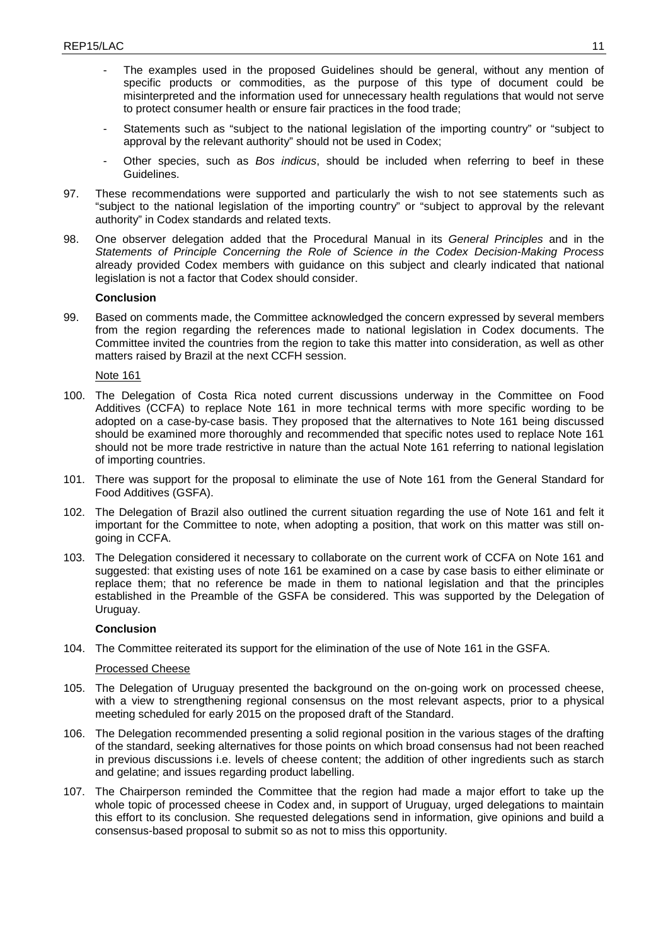- The examples used in the proposed Guidelines should be general, without any mention of specific products or commodities, as the purpose of this type of document could be misinterpreted and the information used for unnecessary health regulations that would not serve to protect consumer health or ensure fair practices in the food trade;
- Statements such as "subject to the national legislation of the importing country" or "subject to approval by the relevant authority" should not be used in Codex;
- Other species, such as *Bos indicus*, should be included when referring to beef in these Guidelines.
- 97. These recommendations were supported and particularly the wish to not see statements such as "subject to the national legislation of the importing country" or "subject to approval by the relevant authority" in Codex standards and related texts.
- 98. One observer delegation added that the Procedural Manual in its *General Principles* and in the *Statements of Principle Concerning the Role of Science in the Codex Decision-Making Process* already provided Codex members with guidance on this subject and clearly indicated that national legislation is not a factor that Codex should consider.

99. Based on comments made, the Committee acknowledged the concern expressed by several members from the region regarding the references made to national legislation in Codex documents. The Committee invited the countries from the region to take this matter into consideration, as well as other matters raised by Brazil at the next CCFH session.

Note 161

- 100. The Delegation of Costa Rica noted current discussions underway in the Committee on Food Additives (CCFA) to replace Note 161 in more technical terms with more specific wording to be adopted on a case-by-case basis. They proposed that the alternatives to Note 161 being discussed should be examined more thoroughly and recommended that specific notes used to replace Note 161 should not be more trade restrictive in nature than the actual Note 161 referring to national legislation of importing countries.
- 101. There was support for the proposal to eliminate the use of Note 161 from the General Standard for Food Additives (GSFA).
- 102. The Delegation of Brazil also outlined the current situation regarding the use of Note 161 and felt it important for the Committee to note, when adopting a position, that work on this matter was still ongoing in CCFA.
- 103. The Delegation considered it necessary to collaborate on the current work of CCFA on Note 161 and suggested: that existing uses of note 161 be examined on a case by case basis to either eliminate or replace them; that no reference be made in them to national legislation and that the principles established in the Preamble of the GSFA be considered. This was supported by the Delegation of Uruguay.

#### **Conclusion**

104. The Committee reiterated its support for the elimination of the use of Note 161 in the GSFA.

### Processed Cheese

- 105. The Delegation of Uruguay presented the background on the on-going work on processed cheese, with a view to strengthening regional consensus on the most relevant aspects, prior to a physical meeting scheduled for early 2015 on the proposed draft of the Standard.
- 106. The Delegation recommended presenting a solid regional position in the various stages of the drafting of the standard, seeking alternatives for those points on which broad consensus had not been reached in previous discussions i.e. levels of cheese content; the addition of other ingredients such as starch and gelatine; and issues regarding product labelling.
- 107. The Chairperson reminded the Committee that the region had made a major effort to take up the whole topic of processed cheese in Codex and, in support of Uruguay, urged delegations to maintain this effort to its conclusion. She requested delegations send in information, give opinions and build a consensus-based proposal to submit so as not to miss this opportunity.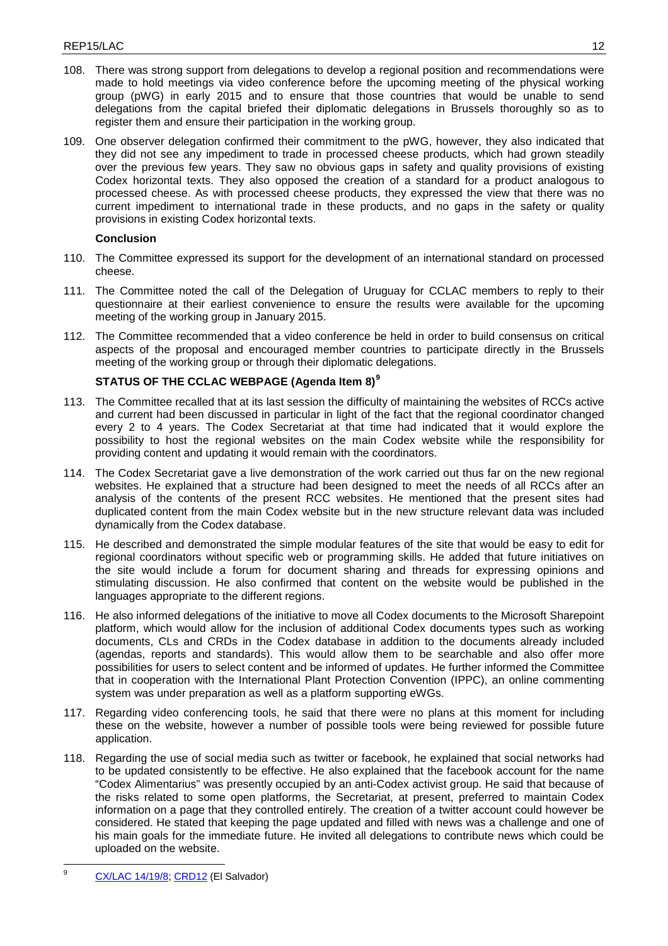- 108. There was strong support from delegations to develop a regional position and recommendations were made to hold meetings via video conference before the upcoming meeting of the physical working group (pWG) in early 2015 and to ensure that those countries that would be unable to send delegations from the capital briefed their diplomatic delegations in Brussels thoroughly so as to register them and ensure their participation in the working group.
- 109. One observer delegation confirmed their commitment to the pWG, however, they also indicated that they did not see any impediment to trade in processed cheese products, which had grown steadily over the previous few years. They saw no obvious gaps in safety and quality provisions of existing Codex horizontal texts. They also opposed the creation of a standard for a product analogous to processed cheese. As with processed cheese products, they expressed the view that there was no current impediment to international trade in these products, and no gaps in the safety or quality provisions in existing Codex horizontal texts.

- 110. The Committee expressed its support for the development of an international standard on processed cheese.
- 111. The Committee noted the call of the Delegation of Uruguay for CCLAC members to reply to their questionnaire at their earliest convenience to ensure the results were available for the upcoming meeting of the working group in January 2015.
- 112. The Committee recommended that a video conference be held in order to build consensus on critical aspects of the proposal and encouraged member countries to participate directly in the Brussels meeting of the working group or through their diplomatic delegations.

## **STATUS OF THE CCLAC WEBPAGE (Agenda Item 8)[9](#page-14-0)**

- 113. The Committee recalled that at its last session the difficulty of maintaining the websites of RCCs active and current had been discussed in particular in light of the fact that the regional coordinator changed every 2 to 4 years. The Codex Secretariat at that time had indicated that it would explore the possibility to host the regional websites on the main Codex website while the responsibility for providing content and updating it would remain with the coordinators.
- 114. The Codex Secretariat gave a live demonstration of the work carried out thus far on the new regional websites. He explained that a structure had been designed to meet the needs of all RCCs after an analysis of the contents of the present RCC websites. He mentioned that the present sites had duplicated content from the main Codex website but in the new structure relevant data was included dynamically from the Codex database.
- 115. He described and demonstrated the simple modular features of the site that would be easy to edit for regional coordinators without specific web or programming skills. He added that future initiatives on the site would include a forum for document sharing and threads for expressing opinions and stimulating discussion. He also confirmed that content on the website would be published in the languages appropriate to the different regions.
- 116. He also informed delegations of the initiative to move all Codex documents to the Microsoft Sharepoint platform, which would allow for the inclusion of additional Codex documents types such as working documents, CLs and CRDs in the Codex database in addition to the documents already included (agendas, reports and standards). This would allow them to be searchable and also offer more possibilities for users to select content and be informed of updates. He further informed the Committee that in cooperation with the International Plant Protection Convention (IPPC), an online commenting system was under preparation as well as a platform supporting eWGs.
- 117. Regarding video conferencing tools, he said that there were no plans at this moment for including these on the website, however a number of possible tools were being reviewed for possible future application.
- 118. Regarding the use of social media such as twitter or facebook, he explained that social networks had to be updated consistently to be effective. He also explained that the facebook account for the name "Codex Alimentarius" was presently occupied by an anti-Codex activist group. He said that because of the risks related to some open platforms, the Secretariat, at present, preferred to maintain Codex information on a page that they controlled entirely. The creation of a twitter account could however be considered. He stated that keeping the page updated and filled with news was a challenge and one of his main goals for the immediate future. He invited all delegations to contribute news which could be uploaded on the website.

<span id="page-14-0"></span>[CX/LAC 14/19/8;](ftp://ftp.fao.org/CODEX/Meetings/cclac/cclac19/la19_08e.pdf) [CRD12](ftp://ftp.fao.org/CODEX/Meetings/cclac/cclac19/CRDs) (El Salvador)  $\overline{9}$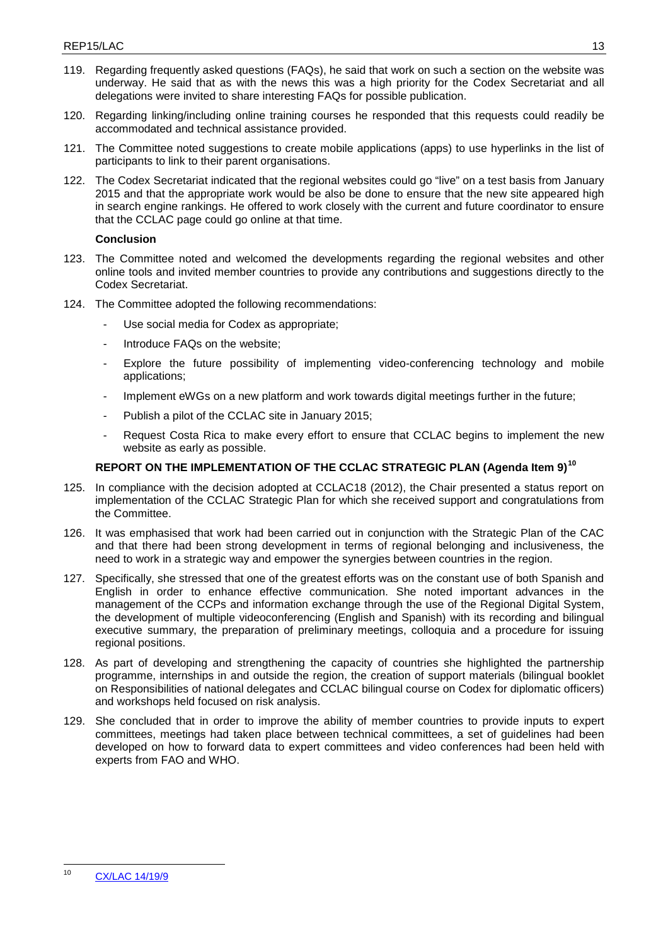- 119. Regarding frequently asked questions (FAQs), he said that work on such a section on the website was underway. He said that as with the news this was a high priority for the Codex Secretariat and all delegations were invited to share interesting FAQs for possible publication.
- 120. Regarding linking/including online training courses he responded that this requests could readily be accommodated and technical assistance provided.
- 121. The Committee noted suggestions to create mobile applications (apps) to use hyperlinks in the list of participants to link to their parent organisations.
- 122. The Codex Secretariat indicated that the regional websites could go "live" on a test basis from January 2015 and that the appropriate work would be also be done to ensure that the new site appeared high in search engine rankings. He offered to work closely with the current and future coordinator to ensure that the CCLAC page could go online at that time.

- 123. The Committee noted and welcomed the developments regarding the regional websites and other online tools and invited member countries to provide any contributions and suggestions directly to the Codex Secretariat.
- 124. The Committee adopted the following recommendations:
	- Use social media for Codex as appropriate;
	- Introduce FAQs on the website;
	- Explore the future possibility of implementing video-conferencing technology and mobile applications;
	- Implement eWGs on a new platform and work towards digital meetings further in the future;
	- Publish a pilot of the CCLAC site in January 2015;
	- Request Costa Rica to make every effort to ensure that CCLAC begins to implement the new website as early as possible.

# **REPORT ON THE IMPLEMENTATION OF THE CCLAC STRATEGIC PLAN (Agenda Item 9)[10](#page-15-0)**

- 125. In compliance with the decision adopted at CCLAC18 (2012), the Chair presented a status report on implementation of the CCLAC Strategic Plan for which she received support and congratulations from the Committee.
- 126. It was emphasised that work had been carried out in conjunction with the Strategic Plan of the CAC and that there had been strong development in terms of regional belonging and inclusiveness, the need to work in a strategic way and empower the synergies between countries in the region.
- 127. Specifically, she stressed that one of the greatest efforts was on the constant use of both Spanish and English in order to enhance effective communication. She noted important advances in the management of the CCPs and information exchange through the use of the Regional Digital System, the development of multiple videoconferencing (English and Spanish) with its recording and bilingual executive summary, the preparation of preliminary meetings, colloquia and a procedure for issuing regional positions.
- 128. As part of developing and strengthening the capacity of countries she highlighted the partnership programme, internships in and outside the region, the creation of support materials (bilingual booklet on Responsibilities of national delegates and CCLAC bilingual course on Codex for diplomatic officers) and workshops held focused on risk analysis.
- 129. She concluded that in order to improve the ability of member countries to provide inputs to expert committees, meetings had taken place between technical committees, a set of guidelines had been developed on how to forward data to expert committees and video conferences had been held with experts from FAO and WHO.

<span id="page-15-0"></span>[CX/LAC 14/19/9](ftp://ftp.fao.org/CODEX/Meetings/cclac/cclac19/la19_09e.pdf)  $10$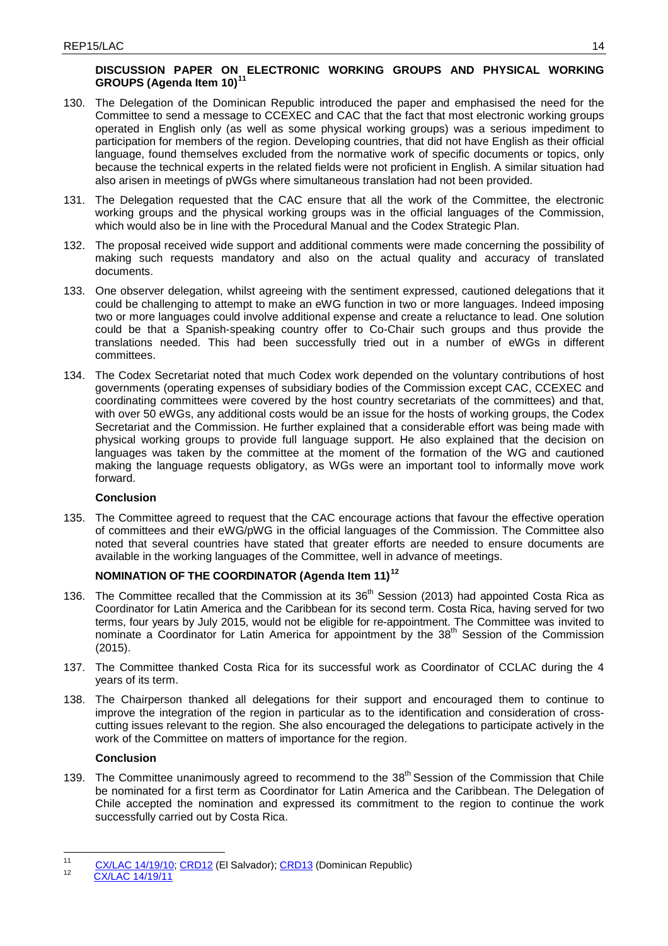# **DISCUSSION PAPER ON ELECTRONIC WORKING GROUPS AND PHYSICAL WORKING GROUPS (Agenda Item 10)[11](#page-16-0)**

- 130. The Delegation of the Dominican Republic introduced the paper and emphasised the need for the Committee to send a message to CCEXEC and CAC that the fact that most electronic working groups operated in English only (as well as some physical working groups) was a serious impediment to participation for members of the region. Developing countries, that did not have English as their official language, found themselves excluded from the normative work of specific documents or topics, only because the technical experts in the related fields were not proficient in English. A similar situation had also arisen in meetings of pWGs where simultaneous translation had not been provided.
- 131. The Delegation requested that the CAC ensure that all the work of the Committee, the electronic working groups and the physical working groups was in the official languages of the Commission, which would also be in line with the Procedural Manual and the Codex Strategic Plan.
- 132. The proposal received wide support and additional comments were made concerning the possibility of making such requests mandatory and also on the actual quality and accuracy of translated documents.
- 133. One observer delegation, whilst agreeing with the sentiment expressed, cautioned delegations that it could be challenging to attempt to make an eWG function in two or more languages. Indeed imposing two or more languages could involve additional expense and create a reluctance to lead. One solution could be that a Spanish-speaking country offer to Co-Chair such groups and thus provide the translations needed. This had been successfully tried out in a number of eWGs in different committees.
- 134. The Codex Secretariat noted that much Codex work depended on the voluntary contributions of host governments (operating expenses of subsidiary bodies of the Commission except CAC, CCEXEC and coordinating committees were covered by the host country secretariats of the committees) and that, with over 50 eWGs, any additional costs would be an issue for the hosts of working groups, the Codex Secretariat and the Commission. He further explained that a considerable effort was being made with physical working groups to provide full language support. He also explained that the decision on languages was taken by the committee at the moment of the formation of the WG and cautioned making the language requests obligatory, as WGs were an important tool to informally move work forward.

## **Conclusion**

135. The Committee agreed to request that the CAC encourage actions that favour the effective operation of committees and their eWG/pWG in the official languages of the Commission. The Committee also noted that several countries have stated that greater efforts are needed to ensure documents are available in the working languages of the Committee, well in advance of meetings.

# **NOMINATION OF THE COORDINATOR (Agenda Item 11)[12](#page-16-1)**

- 136. The Committee recalled that the Commission at its 36<sup>th</sup> Session (2013) had appointed Costa Rica as Coordinator for Latin America and the Caribbean for its second term. Costa Rica, having served for two terms, four years by July 2015, would not be eligible for re-appointment. The Committee was invited to nominate a Coordinator for Latin America for appointment by the  $38<sup>th</sup>$  Session of the Commission (2015).
- 137. The Committee thanked Costa Rica for its successful work as Coordinator of CCLAC during the 4 years of its term.
- 138. The Chairperson thanked all delegations for their support and encouraged them to continue to improve the integration of the region in particular as to the identification and consideration of crosscutting issues relevant to the region. She also encouraged the delegations to participate actively in the work of the Committee on matters of importance for the region.

## **Conclusion**

139. The Committee unanimously agreed to recommend to the 38<sup>th</sup> Session of the Commission that Chile be nominated for a first term as Coordinator for Latin America and the Caribbean. The Delegation of Chile accepted the nomination and expressed its commitment to the region to continue the work successfully carried out by Costa Rica.

<span id="page-16-1"></span><span id="page-16-0"></span> $11$  [CX/LAC 14/19/10;](ftp://ftp.fao.org/CODEX/Meetings/cclac/cclac19/la19_10e.pdf) [CRD12](ftp://ftp.fao.org/CODEX/Meetings/cclac/cclac19/CRDs) (El Salvador); [CRD13](ftp://ftp.fao.org/CODEX/Meetings/cclac/cclac19/CRDs) (Dominican Republic)<br>[CX/LAC 14/19/11](ftp://ftp.fao.org/CODEX/Meetings/cclac/cclac19/la19_11e.pdf)  $11$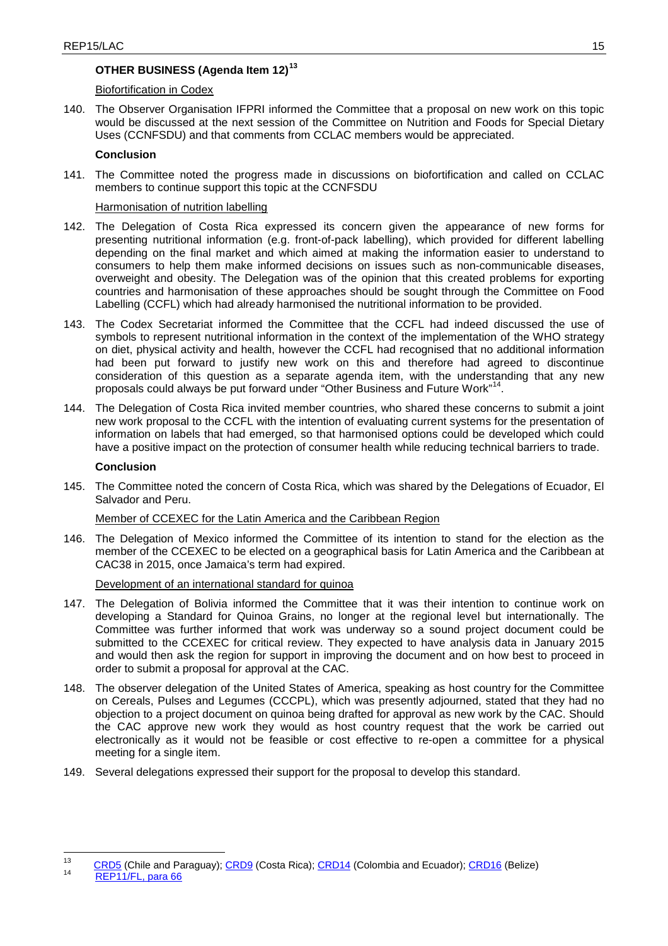# **OTHER BUSINESS (Agenda Item 12)[13](#page-17-0)**

## Biofortification in Codex

140. The Observer Organisation IFPRI informed the Committee that a proposal on new work on this topic would be discussed at the next session of the Committee on Nutrition and Foods for Special Dietary Uses (CCNFSDU) and that comments from CCLAC members would be appreciated.

## **Conclusion**

141. The Committee noted the progress made in discussions on biofortification and called on CCLAC members to continue support this topic at the CCNFSDU

## Harmonisation of nutrition labelling

- 142. The Delegation of Costa Rica expressed its concern given the appearance of new forms for presenting nutritional information (e.g. front-of-pack labelling), which provided for different labelling depending on the final market and which aimed at making the information easier to understand to consumers to help them make informed decisions on issues such as non-communicable diseases, overweight and obesity. The Delegation was of the opinion that this created problems for exporting countries and harmonisation of these approaches should be sought through the Committee on Food Labelling (CCFL) which had already harmonised the nutritional information to be provided.
- 143. The Codex Secretariat informed the Committee that the CCFL had indeed discussed the use of symbols to represent nutritional information in the context of the implementation of the WHO strategy on diet, physical activity and health, however the CCFL had recognised that no additional information had been put forward to justify new work on this and therefore had agreed to discontinue consideration of this question as a separate agenda item, with the understanding that any new proposals could always be put forward under "Other Business and Future Work" [14](#page-17-1).
- 144. The Delegation of Costa Rica invited member countries, who shared these concerns to submit a joint new work proposal to the CCFL with the intention of evaluating current systems for the presentation of information on labels that had emerged, so that harmonised options could be developed which could have a positive impact on the protection of consumer health while reducing technical barriers to trade.

## **Conclusion**

145. The Committee noted the concern of Costa Rica, which was shared by the Delegations of Ecuador, El Salvador and Peru.

## Member of CCEXEC for the Latin America and the Caribbean Region

146. The Delegation of Mexico informed the Committee of its intention to stand for the election as the member of the CCEXEC to be elected on a geographical basis for Latin America and the Caribbean at CAC38 in 2015, once Jamaica's term had expired.

## Development of an international standard for quinoa

- 147. The Delegation of Bolivia informed the Committee that it was their intention to continue work on developing a Standard for Quinoa Grains, no longer at the regional level but internationally. The Committee was further informed that work was underway so a sound project document could be submitted to the CCEXEC for critical review. They expected to have analysis data in January 2015 and would then ask the region for support in improving the document and on how best to proceed in order to submit a proposal for approval at the CAC.
- 148. The observer delegation of the United States of America, speaking as host country for the Committee on Cereals, Pulses and Legumes (CCCPL), which was presently adjourned, stated that they had no objection to a project document on quinoa being drafted for approval as new work by the CAC. Should the CAC approve new work they would as host country request that the work be carried out electronically as it would not be feasible or cost effective to re-open a committee for a physical meeting for a single item.
- 149. Several delegations expressed their support for the proposal to develop this standard.

<span id="page-17-1"></span><span id="page-17-0"></span><sup>&</sup>lt;sup>13</sup> [CRD5](ftp://ftp.fao.org/CODEX/Meetings/cclac/cclac19/CRDs) (Chile and Paraguay); [CRD9](ftp://ftp.fao.org/CODEX/Meetings/cclac/cclac19/CRDs) (Costa Rica); [CRD14](ftp://ftp.fao.org/CODEX/Meetings/cclac/cclac19/CRDs) (Colombia and Ecuador); [CRD16](ftp://ftp.fao.org/CODEX/Meetings/cclac/cclac19/CRDs) (Belize)<br><sup>14</sup> [REP11/FL, para 66](ftp://ftp.fao.org/CODEX/reports/reports_2011/rep11_fle.pdf)  $13$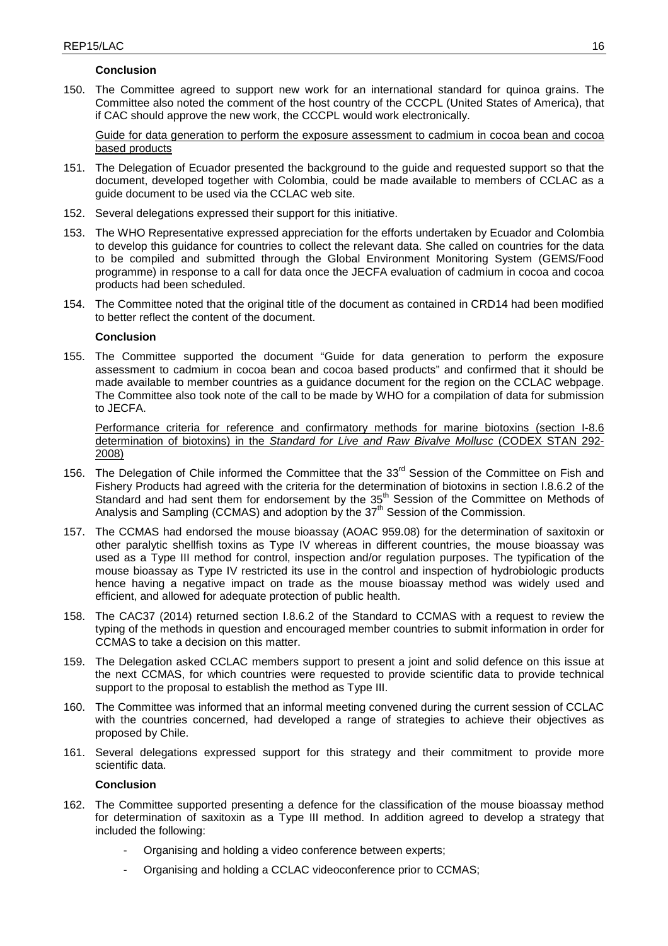150. The Committee agreed to support new work for an international standard for quinoa grains. The Committee also noted the comment of the host country of the CCCPL (United States of America), that if CAC should approve the new work, the CCCPL would work electronically.

Guide for data generation to perform the exposure assessment to cadmium in cocoa bean and cocoa based products

- 151. The Delegation of Ecuador presented the background to the guide and requested support so that the document, developed together with Colombia, could be made available to members of CCLAC as a guide document to be used via the CCLAC web site.
- 152. Several delegations expressed their support for this initiative.
- 153. The WHO Representative expressed appreciation for the efforts undertaken by Ecuador and Colombia to develop this guidance for countries to collect the relevant data. She called on countries for the data to be compiled and submitted through the Global Environment Monitoring System (GEMS/Food programme) in response to a call for data once the JECFA evaluation of cadmium in cocoa and cocoa products had been scheduled.
- 154. The Committee noted that the original title of the document as contained in CRD14 had been modified to better reflect the content of the document.

### **Conclusion**

155. The Committee supported the document "Guide for data generation to perform the exposure assessment to cadmium in cocoa bean and cocoa based products" and confirmed that it should be made available to member countries as a guidance document for the region on the CCLAC webpage. The Committee also took note of the call to be made by WHO for a compilation of data for submission to JECFA.

Performance criteria for reference and confirmatory methods for marine biotoxins (section I-8.6 determination of biotoxins) in the *Standard for Live and Raw Bivalve Mollusc* (CODEX STAN 292- 2008)

- 156. The Delegation of Chile informed the Committee that the 33<sup>rd</sup> Session of the Committee on Fish and Fishery Products had agreed with the criteria for the determination of biotoxins in section I.8.6.2 of the Standard and had sent them for endorsement by the  $35<sup>th</sup>$  Session of the Committee on Methods of Analysis and Sampling (CCMAS) and adoption by the  $37<sup>th</sup>$  Session of the Commission.
- 157. The CCMAS had endorsed the mouse bioassay (AOAC 959.08) for the determination of saxitoxin or other paralytic shellfish toxins as Type IV whereas in different countries, the mouse bioassay was used as a Type III method for control, inspection and/or regulation purposes. The typification of the mouse bioassay as Type IV restricted its use in the control and inspection of hydrobiologic products hence having a negative impact on trade as the mouse bioassay method was widely used and efficient, and allowed for adequate protection of public health.
- 158. The CAC37 (2014) returned section I.8.6.2 of the Standard to CCMAS with a request to review the typing of the methods in question and encouraged member countries to submit information in order for CCMAS to take a decision on this matter.
- 159. The Delegation asked CCLAC members support to present a joint and solid defence on this issue at the next CCMAS, for which countries were requested to provide scientific data to provide technical support to the proposal to establish the method as Type III.
- 160. The Committee was informed that an informal meeting convened during the current session of CCLAC with the countries concerned, had developed a range of strategies to achieve their objectives as proposed by Chile.
- 161. Several delegations expressed support for this strategy and their commitment to provide more scientific data.

## **Conclusion**

- 162. The Committee supported presenting a defence for the classification of the mouse bioassay method for determination of saxitoxin as a Type III method. In addition agreed to develop a strategy that included the following:
	- Organising and holding a video conference between experts;
	- Organising and holding a CCLAC videoconference prior to CCMAS;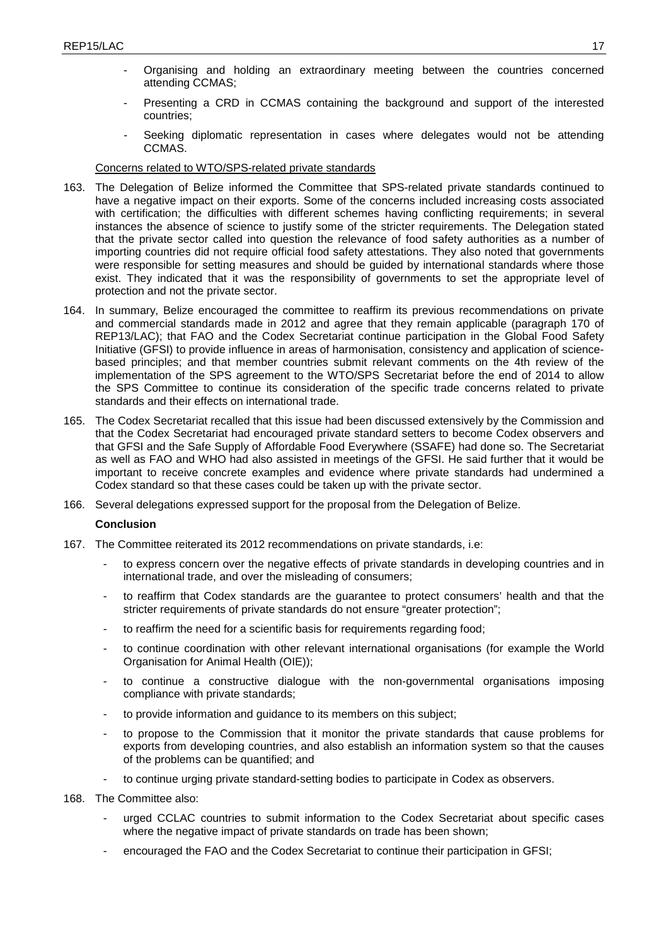- Organising and holding an extraordinary meeting between the countries concerned attending CCMAS;
- Presenting a CRD in CCMAS containing the background and support of the interested countries;
- Seeking diplomatic representation in cases where delegates would not be attending CCMAS.

## Concerns related to WTO/SPS-related private standards

- 163. The Delegation of Belize informed the Committee that SPS-related private standards continued to have a negative impact on their exports. Some of the concerns included increasing costs associated with certification; the difficulties with different schemes having conflicting requirements; in several instances the absence of science to justify some of the stricter requirements. The Delegation stated that the private sector called into question the relevance of food safety authorities as a number of importing countries did not require official food safety attestations. They also noted that governments were responsible for setting measures and should be guided by international standards where those exist. They indicated that it was the responsibility of governments to set the appropriate level of protection and not the private sector.
- 164. In summary, Belize encouraged the committee to reaffirm its previous recommendations on private and commercial standards made in 2012 and agree that they remain applicable (paragraph 170 of REP13/LAC); that FAO and the Codex Secretariat continue participation in the Global Food Safety Initiative (GFSI) to provide influence in areas of harmonisation, consistency and application of sciencebased principles; and that member countries submit relevant comments on the 4th review of the implementation of the SPS agreement to the WTO/SPS Secretariat before the end of 2014 to allow the SPS Committee to continue its consideration of the specific trade concerns related to private standards and their effects on international trade.
- 165. The Codex Secretariat recalled that this issue had been discussed extensively by the Commission and that the Codex Secretariat had encouraged private standard setters to become Codex observers and that GFSI and the Safe Supply of Affordable Food Everywhere (SSAFE) had done so. The Secretariat as well as FAO and WHO had also assisted in meetings of the GFSI. He said further that it would be important to receive concrete examples and evidence where private standards had undermined a Codex standard so that these cases could be taken up with the private sector.
- 166. Several delegations expressed support for the proposal from the Delegation of Belize.

## **Conclusion**

- 167. The Committee reiterated its 2012 recommendations on private standards, i.e:
	- to express concern over the negative effects of private standards in developing countries and in international trade, and over the misleading of consumers;
	- to reaffirm that Codex standards are the guarantee to protect consumers' health and that the stricter requirements of private standards do not ensure "greater protection";
	- to reaffirm the need for a scientific basis for requirements regarding food;
	- to continue coordination with other relevant international organisations (for example the World Organisation for Animal Health (OIE));
	- to continue a constructive dialogue with the non-governmental organisations imposing compliance with private standards;
	- to provide information and guidance to its members on this subject;
	- to propose to the Commission that it monitor the private standards that cause problems for exports from developing countries, and also establish an information system so that the causes of the problems can be quantified; and
	- to continue urging private standard-setting bodies to participate in Codex as observers.
- 168. The Committee also:
	- urged CCLAC countries to submit information to the Codex Secretariat about specific cases where the negative impact of private standards on trade has been shown;
	- encouraged the FAO and the Codex Secretariat to continue their participation in GFSI;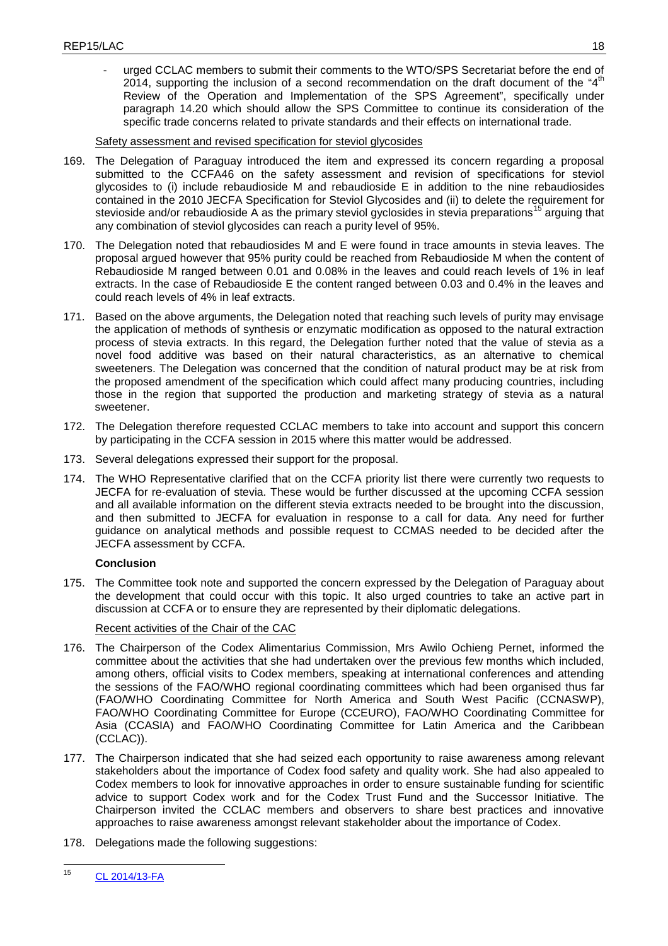- urged CCLAC members to submit their comments to the WTO/SPS Secretariat before the end of 2014, supporting the inclusion of a second recommendation on the draft document of the " $4<sup>th</sup>$ Review of the Operation and Implementation of the SPS Agreement", specifically under paragraph 14.20 which should allow the SPS Committee to continue its consideration of the specific trade concerns related to private standards and their effects on international trade.

Safety assessment and revised specification for steviol glycosides

- 169. The Delegation of Paraguay introduced the item and expressed its concern regarding a proposal submitted to the CCFA46 on the safety assessment and revision of specifications for steviol glycosides to (i) include rebaudioside M and rebaudioside E in addition to the nine rebaudiosides contained in the 2010 JECFA Specification for Steviol Glycosides and (ii) to delete the requirement for stevioside and/or rebaudioside A as the primary steviol gyclosides in stevia preparations<sup>[15](#page-20-0)</sup> arguing that any combination of steviol glycosides can reach a purity level of 95%.
- 170. The Delegation noted that rebaudiosides M and E were found in trace amounts in stevia leaves. The proposal argued however that 95% purity could be reached from Rebaudioside M when the content of Rebaudioside M ranged between 0.01 and 0.08% in the leaves and could reach levels of 1% in leaf extracts. In the case of Rebaudioside E the content ranged between 0.03 and 0.4% in the leaves and could reach levels of 4% in leaf extracts.
- 171. Based on the above arguments, the Delegation noted that reaching such levels of purity may envisage the application of methods of synthesis or enzymatic modification as opposed to the natural extraction process of stevia extracts. In this regard, the Delegation further noted that the value of stevia as a novel food additive was based on their natural characteristics, as an alternative to chemical sweeteners. The Delegation was concerned that the condition of natural product may be at risk from the proposed amendment of the specification which could affect many producing countries, including those in the region that supported the production and marketing strategy of stevia as a natural sweetener.
- 172. The Delegation therefore requested CCLAC members to take into account and support this concern by participating in the CCFA session in 2015 where this matter would be addressed.
- 173. Several delegations expressed their support for the proposal.
- 174. The WHO Representative clarified that on the CCFA priority list there were currently two requests to JECFA for re-evaluation of stevia. These would be further discussed at the upcoming CCFA session and all available information on the different stevia extracts needed to be brought into the discussion, and then submitted to JECFA for evaluation in response to a call for data. Any need for further guidance on analytical methods and possible request to CCMAS needed to be decided after the JECFA assessment by CCFA.

## **Conclusion**

175. The Committee took note and supported the concern expressed by the Delegation of Paraguay about the development that could occur with this topic. It also urged countries to take an active part in discussion at CCFA or to ensure they are represented by their diplomatic delegations.

## Recent activities of the Chair of the CAC

- 176. The Chairperson of the Codex Alimentarius Commission, Mrs Awilo Ochieng Pernet, informed the committee about the activities that she had undertaken over the previous few months which included, among others, official visits to Codex members, speaking at international conferences and attending the sessions of the FAO/WHO regional coordinating committees which had been organised thus far (FAO/WHO Coordinating Committee for North America and South West Pacific (CCNASWP), FAO/WHO Coordinating Committee for Europe (CCEURO), FAO/WHO Coordinating Committee for Asia (CCASIA) and FAO/WHO Coordinating Committee for Latin America and the Caribbean (CCLAC)).
- 177. The Chairperson indicated that she had seized each opportunity to raise awareness among relevant stakeholders about the importance of Codex food safety and quality work. She had also appealed to Codex members to look for innovative approaches in order to ensure sustainable funding for scientific advice to support Codex work and for the Codex Trust Fund and the Successor Initiative. The Chairperson invited the CCLAC members and observers to share best practices and innovative approaches to raise awareness amongst relevant stakeholder about the importance of Codex.
- 178. Delegations made the following suggestions:

<span id="page-20-0"></span>[CL 2014/13-FA](ftp://ftp.fao.org/codex/Circular_Letters/CxCL2014/cl14_13e.pdf) 15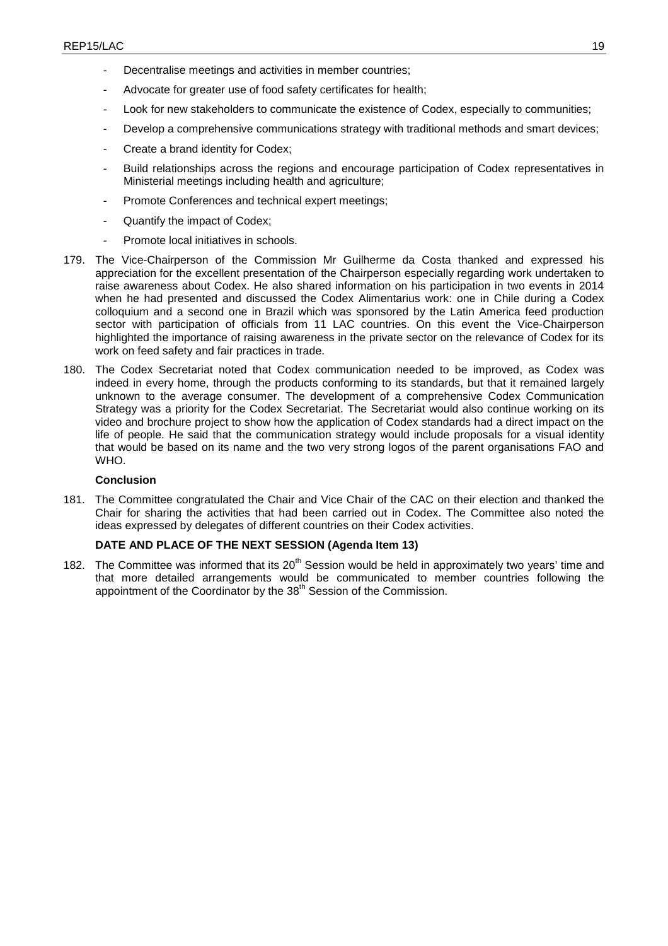- Decentralise meetings and activities in member countries;
- Advocate for greater use of food safety certificates for health;
- Look for new stakeholders to communicate the existence of Codex, especially to communities;
- Develop a comprehensive communications strategy with traditional methods and smart devices;
- Create a brand identity for Codex;
- Build relationships across the regions and encourage participation of Codex representatives in Ministerial meetings including health and agriculture;
- Promote Conferences and technical expert meetings;
- Quantify the impact of Codex;
- Promote local initiatives in schools.
- 179. The Vice-Chairperson of the Commission Mr Guilherme da Costa thanked and expressed his appreciation for the excellent presentation of the Chairperson especially regarding work undertaken to raise awareness about Codex. He also shared information on his participation in two events in 2014 when he had presented and discussed the Codex Alimentarius work: one in Chile during a Codex colloquium and a second one in Brazil which was sponsored by the Latin America feed production sector with participation of officials from 11 LAC countries. On this event the Vice-Chairperson highlighted the importance of raising awareness in the private sector on the relevance of Codex for its work on feed safety and fair practices in trade.
- 180. The Codex Secretariat noted that Codex communication needed to be improved, as Codex was indeed in every home, through the products conforming to its standards, but that it remained largely unknown to the average consumer. The development of a comprehensive Codex Communication Strategy was a priority for the Codex Secretariat. The Secretariat would also continue working on its video and brochure project to show how the application of Codex standards had a direct impact on the life of people. He said that the communication strategy would include proposals for a visual identity that would be based on its name and the two very strong logos of the parent organisations FAO and WHO.

181. The Committee congratulated the Chair and Vice Chair of the CAC on their election and thanked the Chair for sharing the activities that had been carried out in Codex. The Committee also noted the ideas expressed by delegates of different countries on their Codex activities.

## **DATE AND PLACE OF THE NEXT SESSION (Agenda Item 13)**

182. The Committee was informed that its 20<sup>th</sup> Session would be held in approximately two years' time and that more detailed arrangements would be communicated to member countries following the appointment of the Coordinator by the 38<sup>th</sup> Session of the Commission.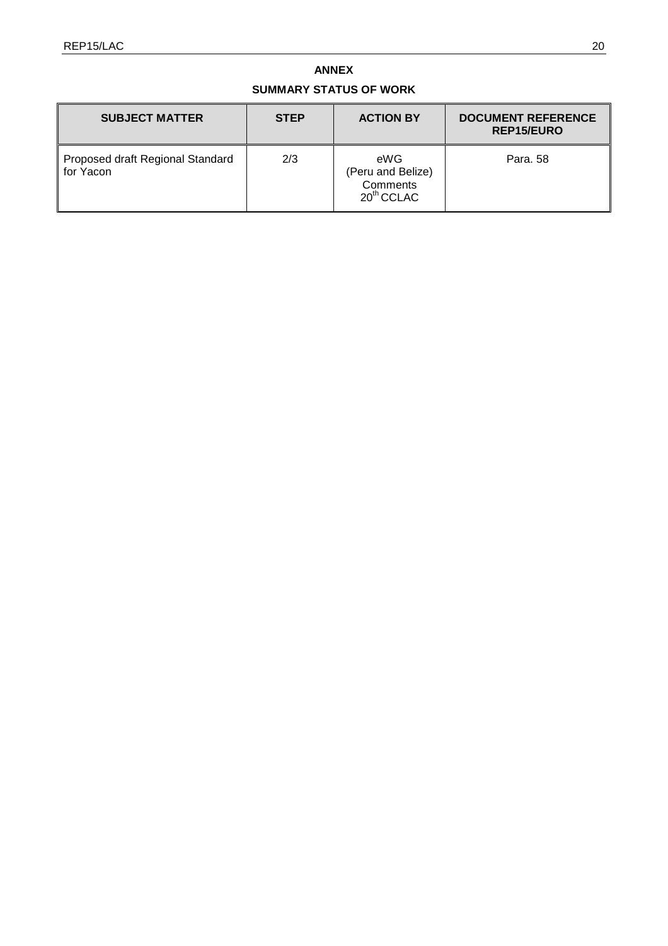## **ANNEX**

# **SUMMARY STATUS OF WORK**

| <b>SUBJECT MATTER</b>                         | <b>STEP</b> | <b>ACTION BY</b>                                     | <b>DOCUMENT REFERENCE</b><br><b>REP15/EURO</b> |
|-----------------------------------------------|-------------|------------------------------------------------------|------------------------------------------------|
| Proposed draft Regional Standard<br>for Yacon | 2/3         | eWG<br>(Peru and Belize)<br>Comments<br>$20th$ CCLAC | Para, 58                                       |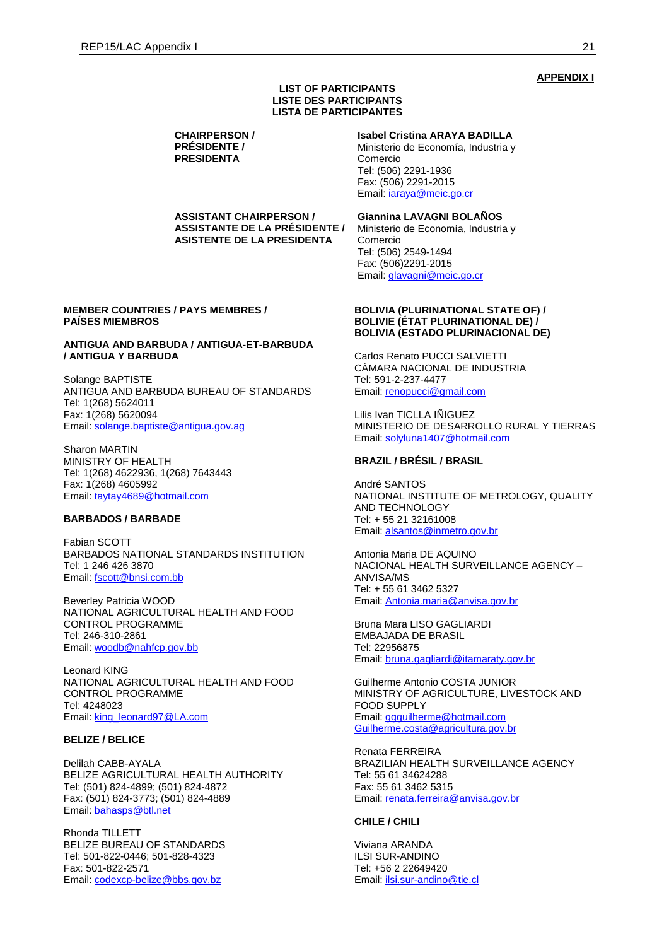### **APPENDIX I**

#### **LIST OF PARTICIPANTS LISTE DES PARTICIPANTS LISTA DE PARTICIPANTES**

**CHAIRPERSON / PRÉSIDENTE / PRESIDENTA**

**Isabel Cristina ARAYA BADILLA**

Ministerio de Economía, Industria y Comercio Tel: (506) 2291-1936 Fax: (506) 2291-2015 Email: [iaraya@meic.go.cr](mailto:iaraya@meic.go.cr)

**ASSISTANT CHAIRPERSON / ASSISTANTE DE LA PRÉSIDENTE / ASISTENTE DE LA PRESIDENTA**

#### **MEMBER COUNTRIES / PAYS MEMBRES / PAÍSES MIEMBROS**

### **ANTIGUA AND BARBUDA / ANTIGUA-ET-BARBUDA / ANTIGUA Y BARBUDA**

Solange BAPTISTE ANTIGUA AND BARBUDA BUREAU OF STANDARDS Tel: 1(268) 5624011 Fax: 1(268) 5620094 Email: [solange.baptiste@antigua.gov.ag](mailto:solange.baptiste@antigua.gov.ag)

Sharon MARTIN MINISTRY OF HEALTH Tel: 1(268) 4622936, 1(268) 7643443 Fax: 1(268) 4605992 Email: [taytay4689@hotmail.com](mailto:taytay4689@hotmail.com)

#### **BARBADOS / BARBADE**

Fabian SCOTT BARBADOS NATIONAL STANDARDS INSTITUTION Tel: 1 246 426 3870 Email: [fscott@bnsi.com.bb](mailto:fscott@bnsi.com.bb)

Beverley Patricia WOOD NATIONAL AGRICULTURAL HEALTH AND FOOD CONTROL PROGRAMME Tel: 246-310-2861 Email: [woodb@nahfcp.gov.bb](mailto:WOODB@NAHFCP.GOV.BB)

Leonard KING NATIONAL AGRICULTURAL HEALTH AND FOOD CONTROL PROGRAMME Tel: 4248023 Email: [king\\_leonard97@LA.com](mailto:king_leonard97@LA.com)

#### **BELIZE / BELICE**

Delilah CABB-AYALA BELIZE AGRICULTURAL HEALTH AUTHORITY Tel: (501) 824-4899; (501) 824-4872 Fax: (501) 824-3773; (501) 824-4889 Email: [bahasps@btl.net](mailto:bahasps@btl.net)

Rhonda TILLETT BELIZE BUREAU OF STANDARDS Tel: 501-822-0446; 501-828-4323 Fax: 501-822-2571 Email: [codexcp-belize@bbs.gov.bz](mailto:codexcp-belize@bbs.gov.bz)

**Giannina LAVAGNI BOLAÑOS** Ministerio de Economía, Industria y Comercio Tel: (506) 2549-1494 Fax: (506)2291-2015 Email: [glavagni@meic.go.cr](mailto:glavagni@meic.go.cr)

#### **BOLIVIA (PLURINATIONAL STATE OF) / BOLIVIE (ÉTAT PLURINATIONAL DE) / BOLIVIA (ESTADO PLURINACIONAL DE)**

Carlos Renato PUCCI SALVIETTI CÁMARA NACIONAL DE INDUSTRIA Tel: 591-2-237-4477 Email: [renopucci@gmail.com](mailto:renopucci@gmail.com)

Lilis Ivan TICLLA IÑIGUEZ MINISTERIO DE DESARROLLO RURAL Y TIERRAS Email: [solyluna1407@hotmail.com](mailto:solyluna1407@hotmail.com)

### **BRAZIL / BRÉSIL / BRASIL**

André SANTOS NATIONAL INSTITUTE OF METROLOGY, QUALITY AND TECHNOLOGY Tel: + 55 21 32161008 Email: [alsantos@inmetro.gov.br](mailto:alsantos@inmetro.gov.br)

Antonia Maria DE AQUINO NACIONAL HEALTH SURVEILLANCE AGENCY – ANVISA/MS Tel: + 55 61 3462 5327 Email: [Antonia.maria@anvisa.gov.br](mailto:Antonia.maria@anvisa.gov.br)

Bruna Mara LISO GAGLIARDI EMBAJADA DE BRASIL Tel: 22956875 Email: [bruna.gagliardi@itamaraty.gov.br](mailto:bruna.gagliardi@itamaraty.gov.br)

Guilherme Antonio COSTA JUNIOR MINISTRY OF AGRICULTURE, LIVESTOCK AND FOOD SUPPLY Email: [ggguilherme@hotmail.com](mailto:ggguilherme@hotmail.com) [Guilherme.costa@agricultura.gov.br](mailto:Guilherme.costa@agricultura.gov.br)

Renata FERREIRA BRAZILIAN HEALTH SURVEILLANCE AGENCY Tel: 55 61 34624288 Fax: 55 61 3462 5315 Email: [renata.ferreira@anvisa.gov.br](mailto:renata.ferreira@anvisa.gov.br)

### **CHILE / CHILI**

Viviana ARANDA ILSI SUR-ANDINO Tel: +56 2 22649420 Email: [ilsi.sur-andino@tie.cl](mailto:ilsi.sur-andino@tie.cl)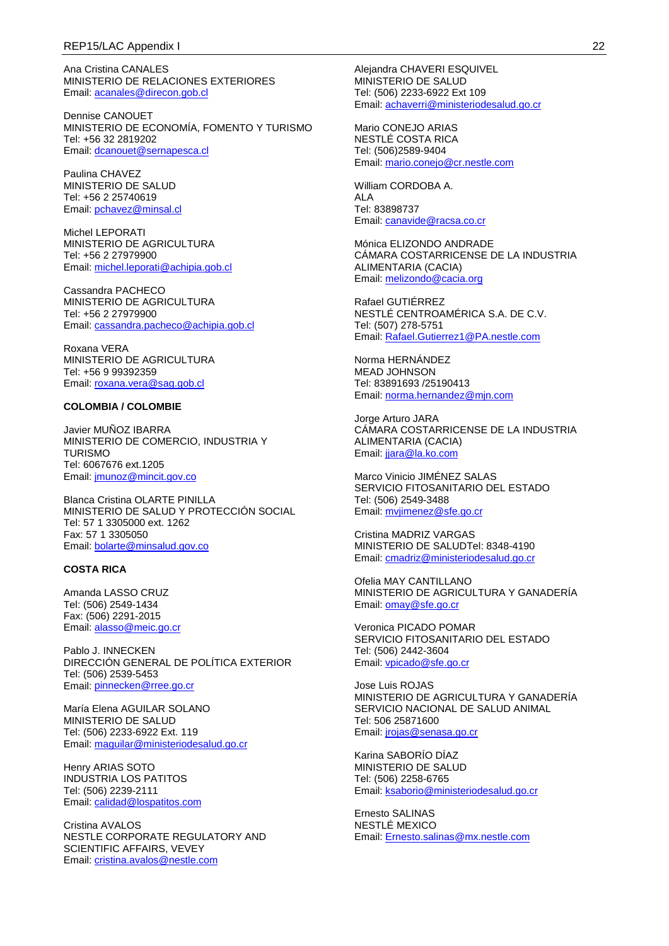Ana Cristina CANALES MINISTERIO DE RELACIONES EXTERIORES Email: [acanales@direcon.gob.cl](mailto:acanales@direcon.gob.cl)

Dennise CANOUET MINISTERIO DE ECONOMÍA, FOMENTO Y TURISMO Tel: +56 32 2819202 Email: [dcanouet@sernapesca.cl](mailto:dcanouet@sernapesca.cl)

Paulina CHAVEZ MINISTERIO DE SALUD Tel: +56 2 25740619 Email: [pchavez@minsal.cl](mailto:pchavez@minsal.cl)

Michel LEPORATI MINISTERIO DE AGRICULTURA Tel: +56 2 27979900 Email: [michel.leporati@achipia.gob.cl](mailto:michel.leporati@achipia.gob.cl)

Cassandra PACHECO MINISTERIO DE AGRICULTURA Tel: +56 2 27979900 Email: [cassandra.pacheco@achipia.gob.cl](mailto:cassandra.pacheco@achipia.gob.cl)

Roxana VERA MINISTERIO DE AGRICULTURA Tel: +56 9 99392359 Email: [roxana.vera@sag.gob.cl](mailto:roxana.vera@sag.gob.cl)

#### **COLOMBIA / COLOMBIE**

Javier MUÑOZ IBARRA MINISTERIO DE COMERCIO, INDUSTRIA Y TURISMO Tel: 6067676 ext.1205 Email: [jmunoz@mincit.gov.co](mailto:jmunoz@mincit.gov.co)

Blanca Cristina OLARTE PINILLA MINISTERIO DE SALUD Y PROTECCIÓN SOCIAL Tel: 57 1 3305000 ext. 1262 Fax: 57 1 3305050 Email: [bolarte@minsalud.gov.co](mailto:bolarte@minsalud.gov.co)

#### **COSTA RICA**

Amanda LASSO CRUZ Tel: (506) 2549-1434 Fax: (506) 2291-2015 Email: [alasso@meic.go.cr](mailto:alasso@meic.go.cr)

Pablo J. INNECKEN DIRECCIÓN GENERAL DE POLÍTICA EXTERIOR Tel: (506) 2539-5453 Email: [pinnecken@rree.go.cr](mailto:pinnecken@rree.go.cr)

María Elena AGUILAR SOLANO MINISTERIO DE SALUD Tel: (506) 2233-6922 Ext. 119 Email: [maguilar@ministeriodesalud.go.cr](mailto:maguilar@ministeriodesalud.go.cr)

Henry ARIAS SOTO INDUSTRIA LOS PATITOS Tel: (506) 2239-2111 Email: [calidad@lospatitos.com](mailto:calidad@lospatitos.com)

Cristina AVALOS NESTLE CORPORATE REGULATORY AND SCIENTIFIC AFFAIRS, VEVEY Email: [cristina.avalos@nestle.com](mailto:cristina.avalos@nestle.com)

Alejandra CHAVERI ESQUIVEL MINISTERIO DE SALUD Tel: (506) 2233-6922 Ext 109 Email: [achaverri@ministeriodesalud.go.cr](mailto:achaverri@ministeriodesalud.go.cr)

Mario CONEJO ARIAS NESTLÉ COSTA RICA Tel: (506)2589-9404 Email: [mario.conejo@cr.nestle.com](mailto:mario.conejo@cr.nestle.com)

William CORDOBA A. ALA Tel: 83898737 Email: [canavide@racsa.co.cr](mailto:canavide@racsa.co.cr)

Mónica ELIZONDO ANDRADE CÁMARA COSTARRICENSE DE LA INDUSTRIA ALIMENTARIA (CACIA) Email: [melizondo@cacia.org](mailto:melizondo@cacia.org)

Rafael GUTIÉRREZ NESTLÉ CENTROAMÉRICA S.A. DE C.V. Tel: (507) 278-5751 Email: [Rafael.Gutierrez1@PA.nestle.com](mailto:Rafael.Gutierrez1@PA.nestle.com)

Norma HERNÁNDEZ MEAD JOHNSON Tel: 83891693 /25190413 Email: [norma.hernandez@mjn.com](mailto:norma.hernandez@mjn.com)

Jorge Arturo JARA CÁMARA COSTARRICENSE DE LA INDUSTRIA ALIMENTARIA (CACIA) Email: jara@la.ko.com

Marco Vinicio JIMÉNEZ SALAS SERVICIO FITOSANITARIO DEL ESTADO Tel: (506) 2549-3488 Email: [mvjimenez@sfe.go.cr](mailto:mvjimenez@sfe.go.cr)

Cristina MADRIZ VARGAS MINISTERIO DE SALUDTel: 8348-4190 Email: [cmadriz@ministeriodesalud.go.cr](mailto:cmadriz@ministeriodesalud.go.cr)

Ofelia MAY CANTILLANO MINISTERIO DE AGRICULTURA Y GANADERÍA Email: [omay@sfe.go.cr](mailto:omay@sfe.go.cr)

Veronica PICADO POMAR SERVICIO FITOSANITARIO DEL ESTADO Tel: (506) 2442-3604 Email: [vpicado@sfe.go.cr](mailto:vpicado@sfe.go.cr)

Jose Luis ROJAS MINISTERIO DE AGRICULTURA Y GANADERÍA SERVICIO NACIONAL DE SALUD ANIMAL Tel: 506 25871600 Email: [jrojas@senasa.go.cr](mailto:jrojas@senasa.go.cr)

Karina SABORÍO DÍAZ MINISTERIO DE SALUD Tel: (506) 2258-6765 Email: [ksaborio@ministeriodesalud.go.cr](mailto:ksaborio@ministeriodesalud.go.cr)

Ernesto SALINAS NESTLÉ MEXICO Email: [Ernesto.salinas@mx.nestle.com](mailto:Ernesto.salinas@mx.nestle.com)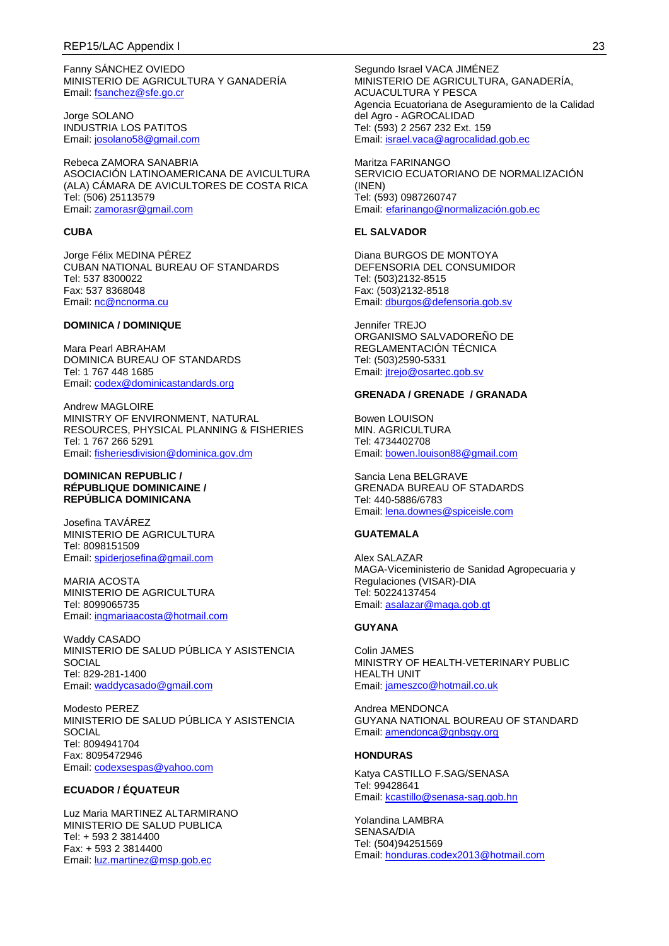Fanny SÁNCHEZ OVIEDO MINISTERIO DE AGRICULTURA Y GANADERÍA Email: [fsanchez@sfe.go.cr](mailto:fsanchez@sfe.go.cr)

Jorge SOLANO INDUSTRIA LOS PATITOS Email: [josolano58@gmail.com](mailto:josolano58@gmail.com)

Rebeca ZAMORA SANABRIA ASOCIACIÓN LATINOAMERICANA DE AVICULTURA (ALA) CÁMARA DE AVICULTORES DE COSTA RICA Tel: (506) 25113579 Email: [zamorasr@gmail.com](mailto:zamorasr@gmail.com)

#### **CUBA**

Jorge Félix MEDINA PÉREZ CUBAN NATIONAL BUREAU OF STANDARDS Tel: 537 8300022 Fax: 537 8368048 Email: [nc@ncnorma.cu](mailto:nc@ncnorma.cu)

### **DOMINICA / DOMINIQUE**

Mara Pearl ABRAHAM DOMINICA BUREAU OF STANDARDS Tel: 1 767 448 1685 Email: [codex@dominicastandards.org](mailto:codex@dominicastandards.org)

Andrew MAGLOIRE MINISTRY OF ENVIRONMENT, NATURAL RESOURCES, PHYSICAL PLANNING & FISHERIES Tel: 1 767 266 5291 Email: [fisheriesdivision@dominica.gov.dm](mailto:fisheriesdivision@dominica.gov.dm)

#### **DOMINICAN REPUBLIC / RÉPUBLIQUE DOMINICAINE / REPÚBLICA DOMINICANA**

Josefina TAVÁREZ MINISTERIO DE AGRICULTURA Tel: 8098151509 Email: [spiderjosefina@gmail.com](mailto:spiderjosefina@gmail.com)

MARIA ACOSTA MINISTERIO DE AGRICULTURA Tel: 8099065735 Email: [ingmariaacosta@hotmail.com](mailto:ingmariaacosta@hotmail.com)

Waddy CASADO MINISTERIO DE SALUD PÚBLICA Y ASISTENCIA **SOCIAL** Tel: 829-281-1400 Email: [waddycasado@gmail.com](mailto:waddycasado@gmail.com)

Modesto PEREZ MINISTERIO DE SALUD PÚBLICA Y ASISTENCIA **SOCIAL** Tel: 8094941704 Fax: 8095472946 Email: [codexsespas@yahoo.com](mailto:codexsespas@yahoo.com)

### **ECUADOR / ÉQUATEUR**

Luz Maria MARTINEZ ALTARMIRANO MINISTERIO DE SALUD PUBLICA Tel: + 593 2 3814400 Fax: + 593 2 3814400 Email: [luz.martinez@msp.gob.ec](mailto:luz.martinez@msp.gob.ec)

Segundo Israel VACA JIMÉNEZ MINISTERIO DE AGRICULTURA, GANADERÍA, ACUACULTURA Y PESCA Agencia Ecuatoriana de Aseguramiento de la Calidad del Agro - AGROCALIDAD Tel: (593) 2 2567 232 Ext. 159 Email: [israel.vaca@agrocalidad.gob.ec](mailto:israel.vaca@agrocalidad.gob.ec)

Maritza FARINANGO SERVICIO ECUATORIANO DE NORMALIZACIÓN (INEN) Tel: (593) 0987260747 Email: [efarinango@normalización.gob.ec](mailto:efarinango@normalizaci%C3%B3n.gob.ec)

### **EL SALVADOR**

Diana BURGOS DE MONTOYA DEFENSORIA DEL CONSUMIDOR Tel: (503)2132-8515 Fax: (503)2132-8518 Email: [dburgos@defensoria.gob.sv](mailto:dburgos@defensoria.gob.sv)

Jennifer TREJO ORGANISMO SALVADOREÑO DE REGLAMENTACIÓN TÉCNICA Tel: (503)2590-5331 Email: [jtrejo@osartec.gob.sv](mailto:jtrejo@osartec.gob.sv)

#### **GRENADA / GRENADE / GRANADA**

Bowen LOUISON MIN. AGRICULTURA Tel: 4734402708 Email: [bowen.louison88@gmail.com](mailto:bowen.louison88@gmail.com)

Sancia Lena BELGRAVE GRENADA BUREAU OF STADARDS Tel: 440-5886/6783 Email: [lena.downes@spiceisle.com](mailto:lena.downes@spiceisle.com)

### **GUATEMALA**

Alex SALAZAR MAGA-Viceministerio de Sanidad Agropecuaria y Regulaciones (VISAR)-DIA Tel: 50224137454 Email: [asalazar@maga.gob.gt](mailto:asalazar@maga.gob.gt)

### **GUYANA**

Colin JAMES MINISTRY OF HEALTH-VETERINARY PUBLIC HEALTH UNIT Email: [jameszco@hotmail.co.uk](mailto:jameszco@hotmail.co.uk)

Andrea MENDONCA GUYANA NATIONAL BOUREAU OF STANDARD Email: [amendonca@gnbsgy.org](mailto:amendonca@gnbsgy.org)

#### **HONDURAS**

Katya CASTILLO F.SAG/SENASA Tel: 99428641 Email: [kcastillo@senasa-sag.gob.hn](mailto:kcastillo@senasa-sag.gob.hn)

Yolandina LAMBRA SENASA/DIA Tel: (504)94251569 Email: [honduras.codex2013@hotmail.com](mailto:honduras.codex2013@hotmail.com)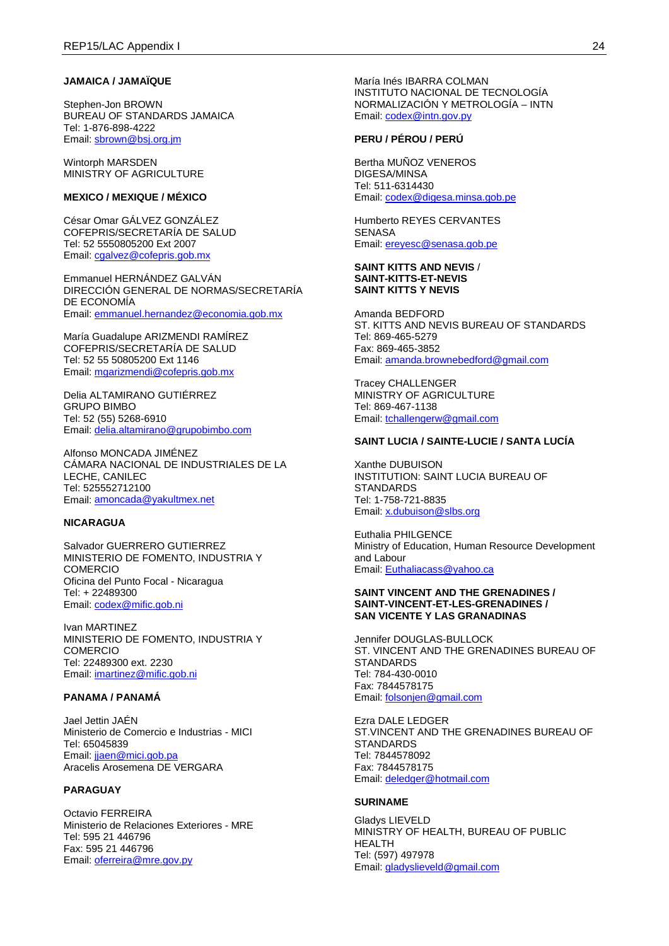### **JAMAICA / JAMAÏQUE**

Stephen-Jon BROWN BUREAU OF STANDARDS JAMAICA Tel: 1-876-898-4222 Email: [sbrown@bsj.org.jm](mailto:sbrown@bsj.org.jm)

Wintorph MARSDEN MINISTRY OF AGRICULTURE

### **MEXICO / MEXIQUE / MÉXICO**

César Omar GÁLVEZ GONZÁLEZ COFEPRIS/SECRETARÍA DE SALUD Tel: 52 5550805200 Ext 2007 Email: [cgalvez@cofepris.gob.mx](mailto:cgalvez@cofepris.gob.mx)

Emmanuel HERNÁNDEZ GALVÁN DIRECCIÓN GENERAL DE NORMAS/SECRETARÍA DE ECONOMÍA Email: [emmanuel.hernandez@economia.gob.mx](mailto:emmanuel.hernandez@economia.gob.mx)

María Guadalupe ARIZMENDI RAMÍREZ COFEPRIS/SECRETARÍA DE SALUD Tel: 52 55 50805200 Ext 1146 Email: [mgarizmendi@cofepris.gob.mx](mailto:mgarizmendi@cofepris.gob.mx)

Delia ALTAMIRANO GUTIÉRREZ GRUPO BIMBO Tel: 52 (55) 5268-6910 Email: [delia.altamirano@grupobimbo.com](mailto:delia.altamirano@grupobimbo.com)

Alfonso MONCADA JIMÉNEZ CÁMARA NACIONAL DE INDUSTRIALES DE LA LECHE, CANILEC Tel: 525552712100 Email: [amoncada@yakultmex.net](mailto:amoncada@yakultmex.net)

#### **NICARAGUA**

Salvador GUERRERO GUTIERREZ MINISTERIO DE FOMENTO, INDUSTRIA Y COMERCIO Oficina del Punto Focal - Nicaragua Tel: + 22489300 Email: [codex@mific.gob.ni](mailto:codex@mific.gob.ni)

Ivan MARTINEZ MINISTERIO DE FOMENTO, INDUSTRIA Y COMERCIO Tel: 22489300 ext. 2230 Email: [imartinez@mific.gob.ni](mailto:imartinez@mific.gob.ni)

### **PANAMA / PANAMÁ**

Jael Jettin JAÉN Ministerio de Comercio e Industrias - MICI Tel: 65045839 Email: [jjaen@mici.gob.pa](mailto:jjaen@mici.gob.pa) Aracelis Arosemena DE VERGARA

## **PARAGUAY**

Octavio FERREIRA Ministerio de Relaciones Exteriores - MRE Tel: 595 21 446796 Fax: 595 21 446796 Email: [oferreira@mre.gov.py](mailto:oferreira@mre.gov.py)

María Inés IBARRA COLMAN INSTITUTO NACIONAL DE TECNOLOGÍA NORMALIZACIÓN Y METROLOGÍA – INTN Email: [codex@intn.gov.py](mailto:codex@intn.gov.py)

#### **PERU / PÉROU / PERÚ**

Bertha MUÑOZ VENEROS DIGESA/MINSA Tel: 511-6314430 Email: [codex@digesa.minsa.gob.pe](mailto:codex@digesa.minsa.gob.pe)

Humberto REYES CERVANTES **SENASA** Email: [ereyesc@senasa.gob.pe](mailto:ereyesc@senasa.gob.pe)

#### **SAINT KITTS AND NEVIS** / **SAINT-KITTS-ET-NEVIS SAINT KITTS Y NEVIS**

Amanda BEDFORD ST. KITTS AND NEVIS BUREAU OF STANDARDS Tel: 869-465-5279 Fax: 869-465-3852 Email: [amanda.brownebedford@gmail.com](mailto:amanda.brownebedford@gmail.com)

Tracey CHALLENGER MINISTRY OF AGRICULTURE Tel: 869-467-1138 Email: [tchallengerw@gmail.com](mailto:tchallengerw@gmail.com)

#### **SAINT LUCIA / SAINTE-LUCIE / SANTA LUCÍA**

Xanthe DUBUISON INSTITUTION: SAINT LUCIA BUREAU OF STANDARDS Tel: 1-758-721-8835 Email: [x.dubuison@slbs.org](mailto:x.dubuison@slbs.org)

Euthalia PHILGENCE Ministry of Education, Human Resource Development and Labour Email: [Euthaliacass@yahoo.ca](mailto:Euthaliacass@yahoo.ca)

#### **SAINT VINCENT AND THE GRENADINES / SAINT-VINCENT-ET-LES-GRENADINES / SAN VICENTE Y LAS GRANADINAS**

Jennifer DOUGLAS-BULLOCK ST. VINCENT AND THE GRENADINES BUREAU OF STANDARDS Tel: 784-430-0010 Fax: 7844578175 Email: [folsonjen@gmail.com](mailto:folsonjen@gmail.com)

Ezra DALE LEDGER ST.VINCENT AND THE GRENADINES BUREAU OF **STANDARDS** Tel: 7844578092 Fax: 7844578175 Email: [deledger@hotmail.com](mailto:deledger@hotmail.com)

#### **SURINAME**

Gladys LIEVELD MINISTRY OF HEALTH, BUREAU OF PUBLIC HEALTH Tel: (597) 497978 Email: [gladyslieveld@gmail.com](mailto:gladyslieveld@gmail.com)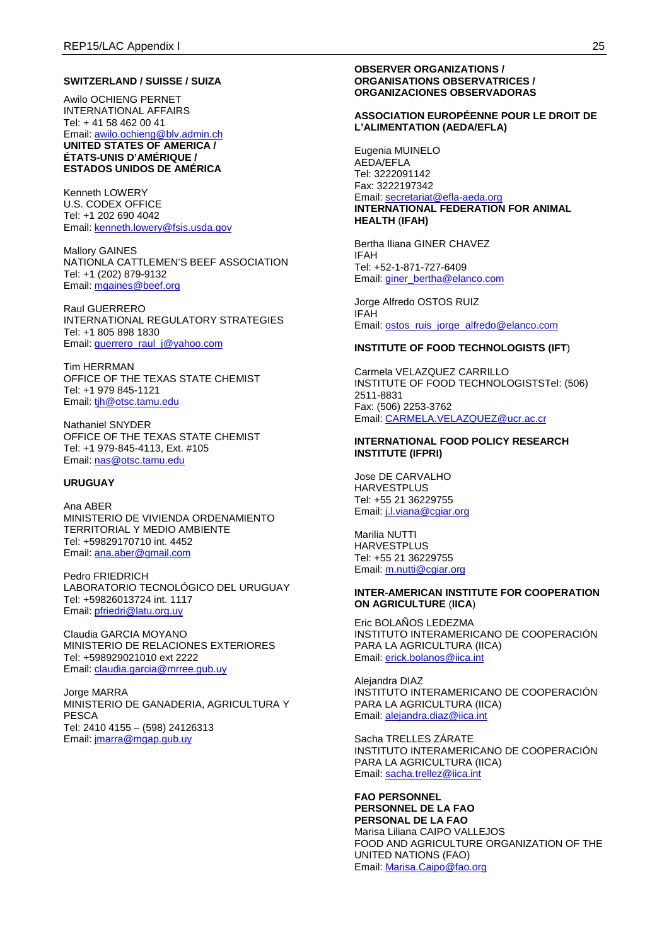#### **SWITZERLAND / SUISSE / SUIZA**

Awilo OCHIENG PERNET INTERNATIONAL AFFAIRS Tel: + 41 58 462 00 41 Email: [awilo.ochieng@blv.admin.ch](mailto:awilo.ochieng@blv.admin.ch) **UNITED STATES OF AMERICA / ÉTATS-UNIS D'AMÉRIQUE / ESTADOS UNIDOS DE AMÉRICA**

Kenneth LOWERY U.S. CODEX OFFICE Tel: +1 202 690 4042 Email: [kenneth.lowery@fsis.usda.gov](mailto:kenneth.lowery@fsis.usda.gov)

Mallory GAINES NATIONLA CATTLEMEN'S BEEF ASSOCIATION Tel: +1 (202) 879-9132 Email: [mgaines@beef.org](mailto:mgaines@beef.org)

Raul GUERRERO INTERNATIONAL REGULATORY STRATEGIES Tel: +1 805 898 1830 Email: querrero\_raul\_j@yahoo.com

Tim HERRMAN OFFICE OF THE TEXAS STATE CHEMIST Tel: +1 979 845-1121 Email: [tjh@otsc.tamu.edu](mailto:tjh@otsc.tamu.edu)

Nathaniel SNYDER OFFICE OF THE TEXAS STATE CHEMIST Tel: +1 979-845-4113, Ext. #105 Email: [nas@otsc.tamu.edu](mailto:nas@otsc.tamu.edu)

#### **URUGUAY**

Ana ABER MINISTERIO DE VIVIENDA ORDENAMIENTO TERRITORIAL Y MEDIO AMBIENTE Tel: +59829170710 int. 4452 Email: [ana.aber@gmail.com](mailto:ana.aber@gmail.com)

Pedro FRIEDRICH LABORATORIO TECNOLÓGICO DEL URUGUAY Tel: +59826013724 int. 1117 Email: [pfriedri@latu.org.uy](mailto:pfriedri@latu.org.uy)

Claudia GARCIA MOYANO MINISTERIO DE RELACIONES EXTERIORES Tel: +598929021010 ext 2222 Email: [claudia.garcia@mrree.gub.uy](mailto:claudia.garcia@mrree.gub.uy)

Jorge MARRA MINISTERIO DE GANADERIA, AGRICULTURA Y **PESCA** Tel: 2410 4155 – (598) 24126313 Email: [jmarra@mgap.gub.uy](mailto:jmarra@mgap.gub.uy)

#### **OBSERVER ORGANIZATIONS / ORGANISATIONS OBSERVATRICES / ORGANIZACIONES OBSERVADORAS**

### **ASSOCIATION EUROPÉENNE POUR LE DROIT DE L'ALIMENTATION (AEDA/EFLA)**

Eugenia MUINELO AEDA/EFLA Tel: 3222091142 Fax: 3222197342 Email: [secretariat@efla-aeda.org](mailto:secretariat@efla-aeda.org) **INTERNATIONAL FEDERATION FOR ANIMAL HEALTH** (**IFAH)**

Bertha Iliana GINER CHAVEZ IFAH Tel: +52-1-871-727-6409 Email: [giner\\_bertha@elanco.com](mailto:giner_bertha@elanco.com)

Jorge Alfredo OSTOS RUIZ IFAH Email: [ostos\\_ruis\\_jorge\\_alfredo@elanco.com](mailto:ostos_ruis_jorge_alfredo@elanco.com)

#### **INSTITUTE OF FOOD TECHNOLOGISTS (IFT**)

Carmela VELAZQUEZ CARRILLO INSTITUTE OF FOOD TECHNOLOGISTSTel: (506) 2511-8831 Fax: (506) 2253-3762 Email: [CARMELA.VELAZQUEZ@ucr.ac.cr](mailto:CARMELA.VELAZQUEZ@ucr.ac.cr)

#### **INTERNATIONAL FOOD POLICY RESEARCH INSTITUTE (IFPRI)**

Jose DE CARVALHO **HARVESTPLUS** Tel: +55 21 36229755 Email: [j.l.viana@cgiar.org](mailto:j.l.viana@cgiar.org)

Marilia NUTTI HARVESTPLUS Tel: +55 21 36229755 Email: [m.nutti@cgiar.org](mailto:m.nutti@cgiar.org)

#### **INTER-AMERICAN INSTITUTE FOR COOPERATION ON AGRICULTURE** (**IICA**)

Eric BOLAÑOS LEDEZMA INSTITUTO INTERAMERICANO DE COOPERACIÓN PARA LA AGRICULTURA (IICA) Email: [erick.bolanos@iica.int](mailto:erick.bolanos@iica.int)

Alejandra DIAZ INSTITUTO INTERAMERICANO DE COOPERACIÓN PARA LA AGRICULTURA (IICA) Email: [alejandra.diaz@iica.int](mailto:alejandra.diaz@iica.int)

Sacha TRELLES ZÁRATE INSTITUTO INTERAMERICANO DE COOPERACIÓN PARA LA AGRICULTURA (IICA) Email: [sacha.trellez@iica.int](mailto:sacha.trellez@iica.int)

**FAO PERSONNEL PERSONNEL DE LA FAO PERSONAL DE LA FAO** Marisa Liliana CAIPO VALLEJOS FOOD AND AGRICULTURE ORGANIZATION OF THE UNITED NATIONS (FAO) Email: [Marisa.Caipo@fao.org](mailto:Marisa.Caipo@fao.org)